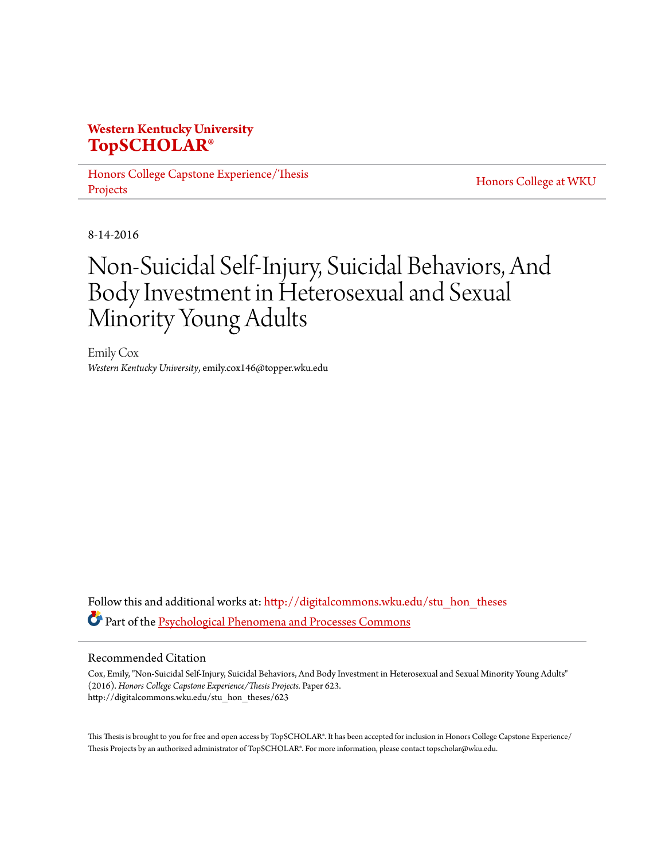## **Western Kentucky University [TopSCHOLAR®](http://digitalcommons.wku.edu?utm_source=digitalcommons.wku.edu%2Fstu_hon_theses%2F623&utm_medium=PDF&utm_campaign=PDFCoverPages)**

[Honors College Capstone Experience/Thesis](http://digitalcommons.wku.edu/stu_hon_theses?utm_source=digitalcommons.wku.edu%2Fstu_hon_theses%2F623&utm_medium=PDF&utm_campaign=PDFCoverPages) [Projects](http://digitalcommons.wku.edu/stu_hon_theses?utm_source=digitalcommons.wku.edu%2Fstu_hon_theses%2F623&utm_medium=PDF&utm_campaign=PDFCoverPages)

[Honors College at WKU](http://digitalcommons.wku.edu/honors_prog?utm_source=digitalcommons.wku.edu%2Fstu_hon_theses%2F623&utm_medium=PDF&utm_campaign=PDFCoverPages)

8-14-2016

# Non-Suicidal Self-Injury, Suicidal Behaviors, And Body Investment in Heterosexual and Sexual Minority Young Adults

Emily Cox *Western Kentucky University*, emily.cox146@topper.wku.edu

Follow this and additional works at: [http://digitalcommons.wku.edu/stu\\_hon\\_theses](http://digitalcommons.wku.edu/stu_hon_theses?utm_source=digitalcommons.wku.edu%2Fstu_hon_theses%2F623&utm_medium=PDF&utm_campaign=PDFCoverPages) Part of the [Psychological Phenomena and Processes Commons](http://network.bepress.com/hgg/discipline/914?utm_source=digitalcommons.wku.edu%2Fstu_hon_theses%2F623&utm_medium=PDF&utm_campaign=PDFCoverPages)

#### Recommended Citation

Cox, Emily, "Non-Suicidal Self-Injury, Suicidal Behaviors, And Body Investment in Heterosexual and Sexual Minority Young Adults" (2016). *Honors College Capstone Experience/Thesis Projects.* Paper 623. http://digitalcommons.wku.edu/stu\_hon\_theses/623

This Thesis is brought to you for free and open access by TopSCHOLAR®. It has been accepted for inclusion in Honors College Capstone Experience/ Thesis Projects by an authorized administrator of TopSCHOLAR®. For more information, please contact topscholar@wku.edu.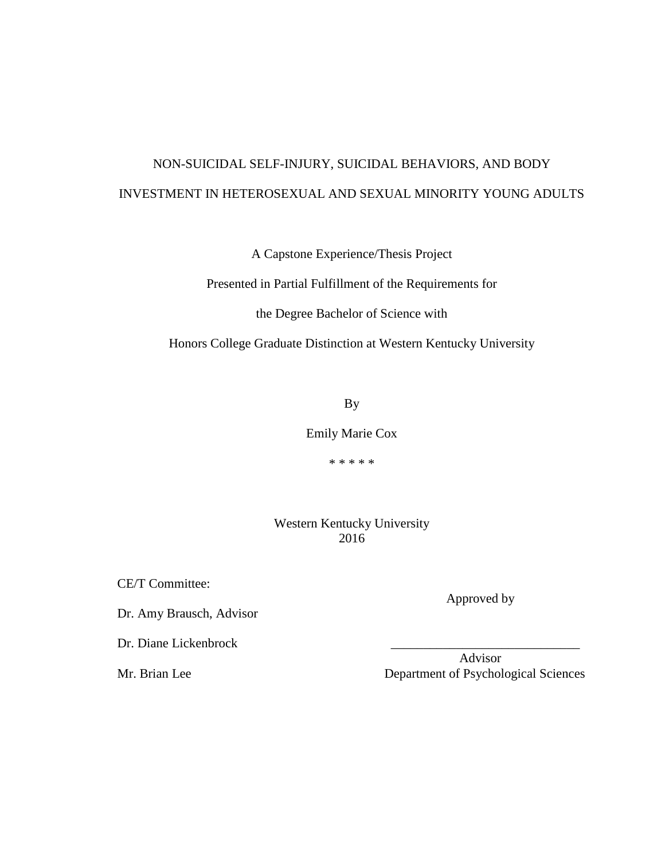## NON-SUICIDAL SELF-INJURY, SUICIDAL BEHAVIORS, AND BODY INVESTMENT IN HETEROSEXUAL AND SEXUAL MINORITY YOUNG ADULTS

A Capstone Experience/Thesis Project

Presented in Partial Fulfillment of the Requirements for

the Degree Bachelor of Science with

Honors College Graduate Distinction at Western Kentucky University

By

Emily Marie Cox

\* \* \* \* \*

Western Kentucky University 2016

CE/T Committee:

Dr. Amy Brausch, Advisor

Dr. Diane Lickenbrock

 Advisor Mr. Brian Lee Department of Psychological Sciences

Approved by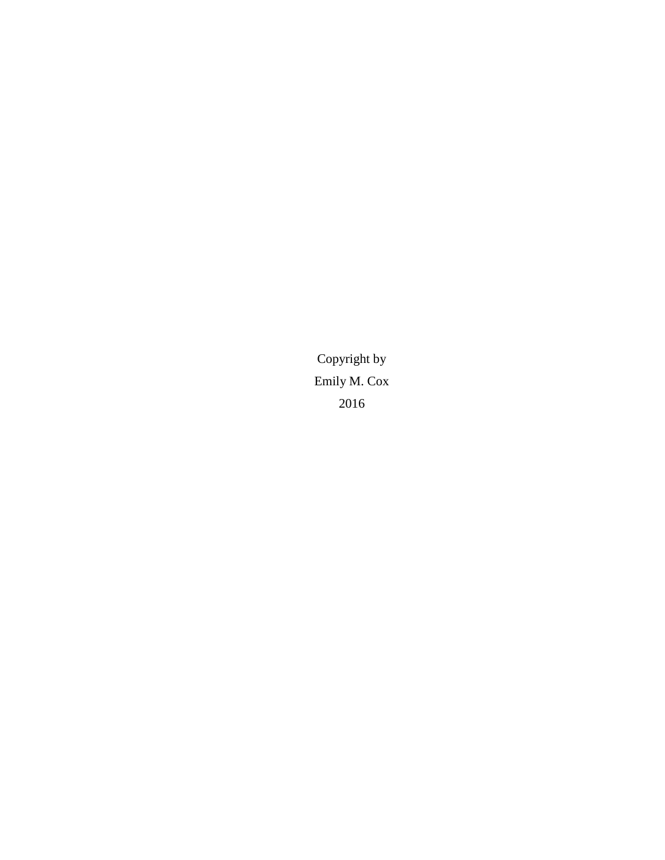Copyright by Emily M. Cox 2016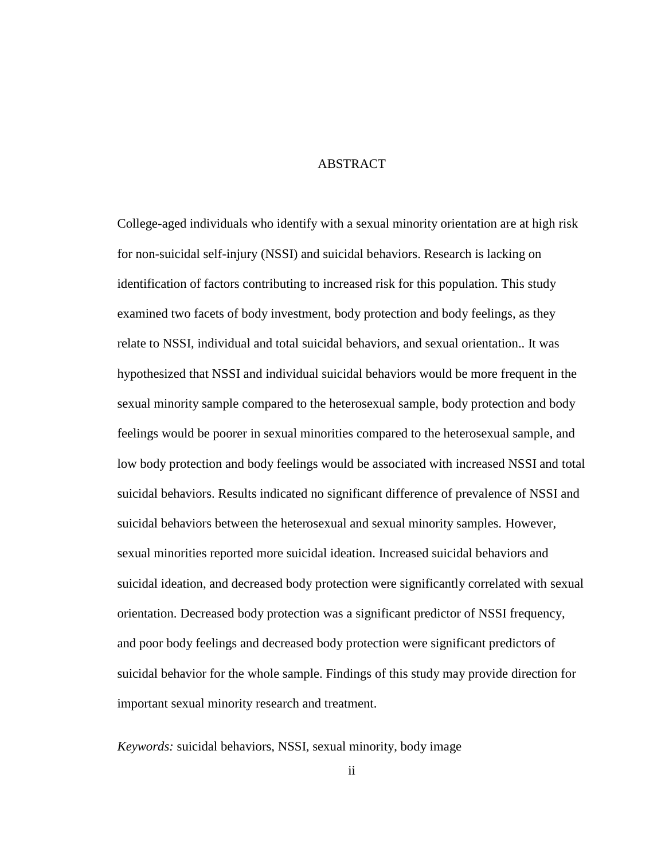#### ABSTRACT

College-aged individuals who identify with a sexual minority orientation are at high risk for non-suicidal self-injury (NSSI) and suicidal behaviors. Research is lacking on identification of factors contributing to increased risk for this population. This study examined two facets of body investment, body protection and body feelings, as they relate to NSSI, individual and total suicidal behaviors, and sexual orientation.. It was hypothesized that NSSI and individual suicidal behaviors would be more frequent in the sexual minority sample compared to the heterosexual sample, body protection and body feelings would be poorer in sexual minorities compared to the heterosexual sample, and low body protection and body feelings would be associated with increased NSSI and total suicidal behaviors. Results indicated no significant difference of prevalence of NSSI and suicidal behaviors between the heterosexual and sexual minority samples. However, sexual minorities reported more suicidal ideation. Increased suicidal behaviors and suicidal ideation, and decreased body protection were significantly correlated with sexual orientation. Decreased body protection was a significant predictor of NSSI frequency, and poor body feelings and decreased body protection were significant predictors of suicidal behavior for the whole sample. Findings of this study may provide direction for important sexual minority research and treatment.

*Keywords:* suicidal behaviors, NSSI, sexual minority, body image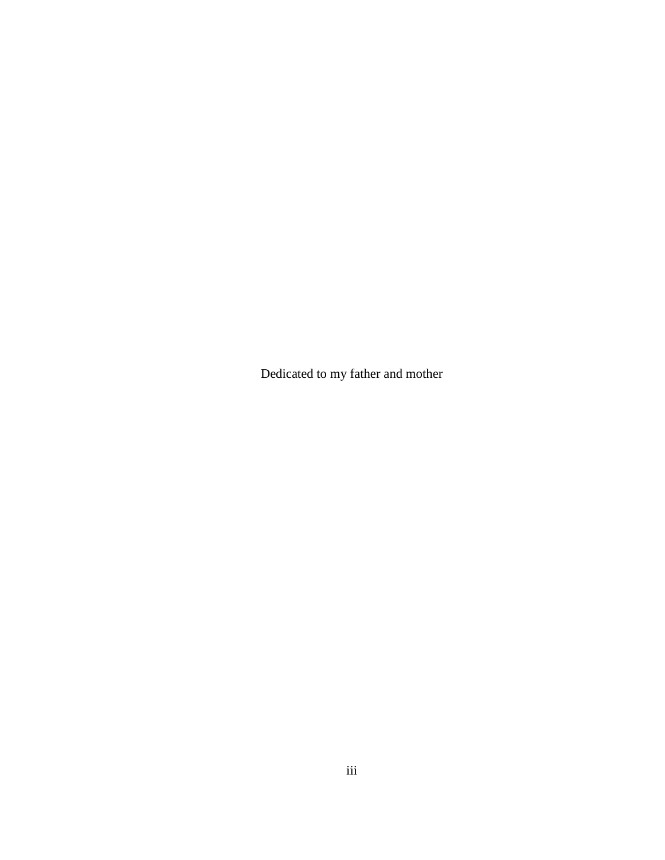Dedicated to my father and mother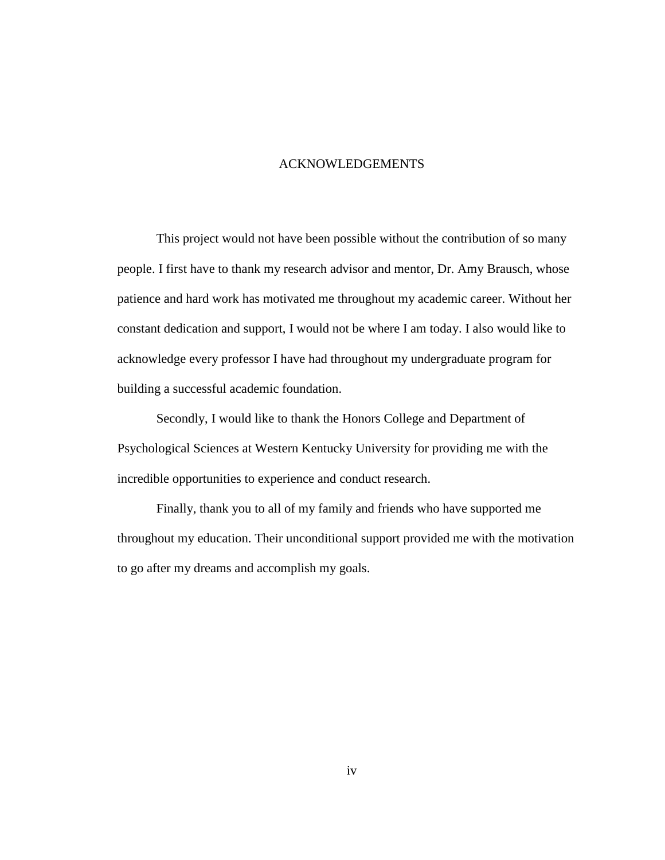#### ACKNOWLEDGEMENTS

This project would not have been possible without the contribution of so many people. I first have to thank my research advisor and mentor, Dr. Amy Brausch, whose patience and hard work has motivated me throughout my academic career. Without her constant dedication and support, I would not be where I am today. I also would like to acknowledge every professor I have had throughout my undergraduate program for building a successful academic foundation.

Secondly, I would like to thank the Honors College and Department of Psychological Sciences at Western Kentucky University for providing me with the incredible opportunities to experience and conduct research.

Finally, thank you to all of my family and friends who have supported me throughout my education. Their unconditional support provided me with the motivation to go after my dreams and accomplish my goals.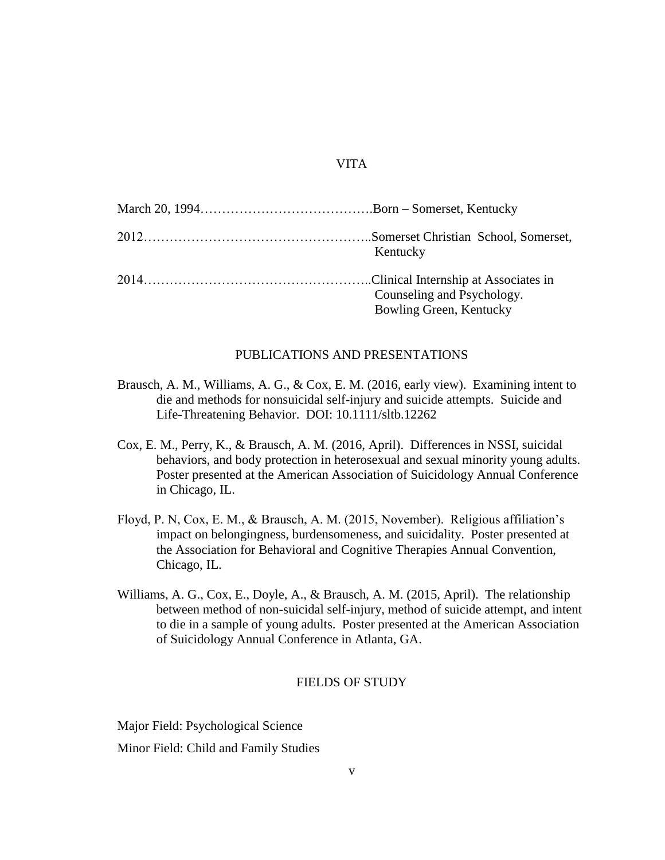#### VITA

| Kentucky                   |
|----------------------------|
|                            |
| Counseling and Psychology. |
| Bowling Green, Kentucky    |

#### PUBLICATIONS AND PRESENTATIONS

- Brausch, A. M., Williams, A. G., & Cox, E. M. (2016, early view). Examining intent to die and methods for nonsuicidal self-injury and suicide attempts. Suicide and Life-Threatening Behavior. DOI: 10.1111/sltb.12262
- Cox, E. M., Perry, K., & Brausch, A. M. (2016, April). Differences in NSSI, suicidal behaviors, and body protection in heterosexual and sexual minority young adults. Poster presented at the American Association of Suicidology Annual Conference in Chicago, IL.
- Floyd, P. N, Cox, E. M., & Brausch, A. M. (2015, November). Religious affiliation's impact on belongingness, burdensomeness, and suicidality. Poster presented at the Association for Behavioral and Cognitive Therapies Annual Convention, Chicago, IL.
- Williams, A. G., Cox, E., Doyle, A., & Brausch, A. M. (2015, April). The relationship between method of non-suicidal self-injury, method of suicide attempt, and intent to die in a sample of young adults. Poster presented at the American Association of Suicidology Annual Conference in Atlanta, GA.

#### FIELDS OF STUDY

Major Field: Psychological Science Minor Field: Child and Family Studies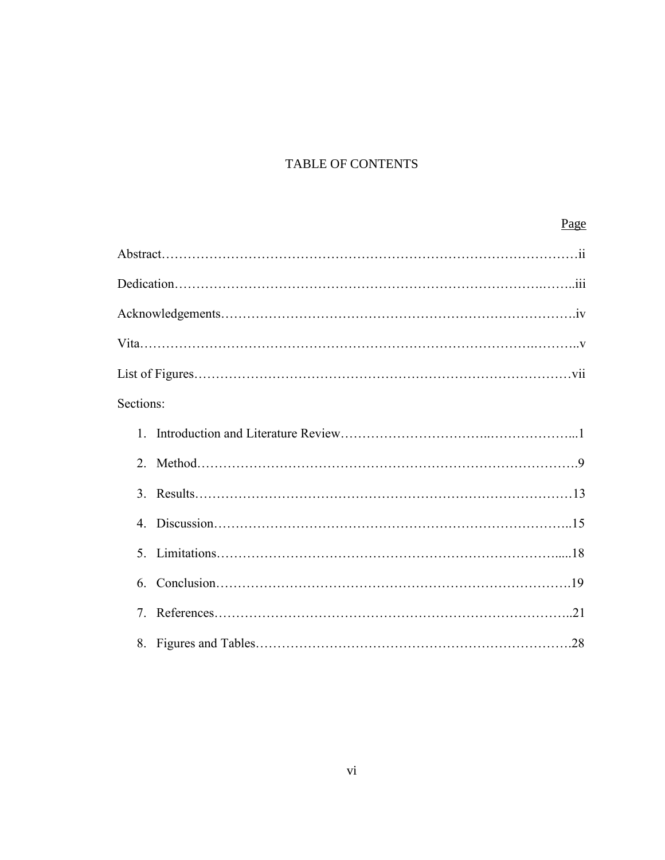## TABLE OF CONTENTS

## Page

| Sections:      |  |
|----------------|--|
| 1              |  |
|                |  |
|                |  |
| $\overline{4}$ |  |
|                |  |
|                |  |
| $7^{\circ}$    |  |
|                |  |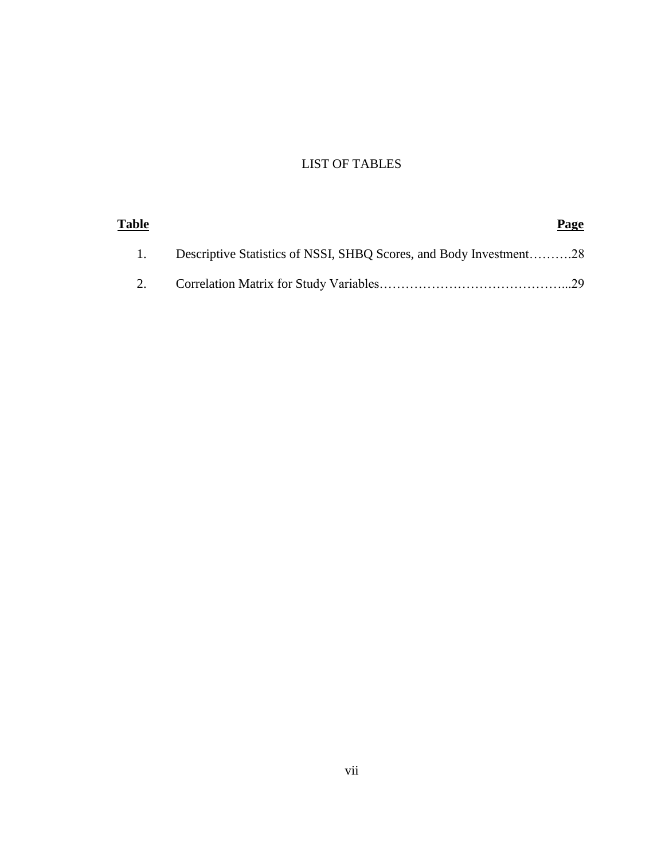### LIST OF TABLES

| <u>Table</u> |                                                                    | Page |
|--------------|--------------------------------------------------------------------|------|
|              | Descriptive Statistics of NSSI, SHBQ Scores, and Body Investment28 |      |
|              |                                                                    |      |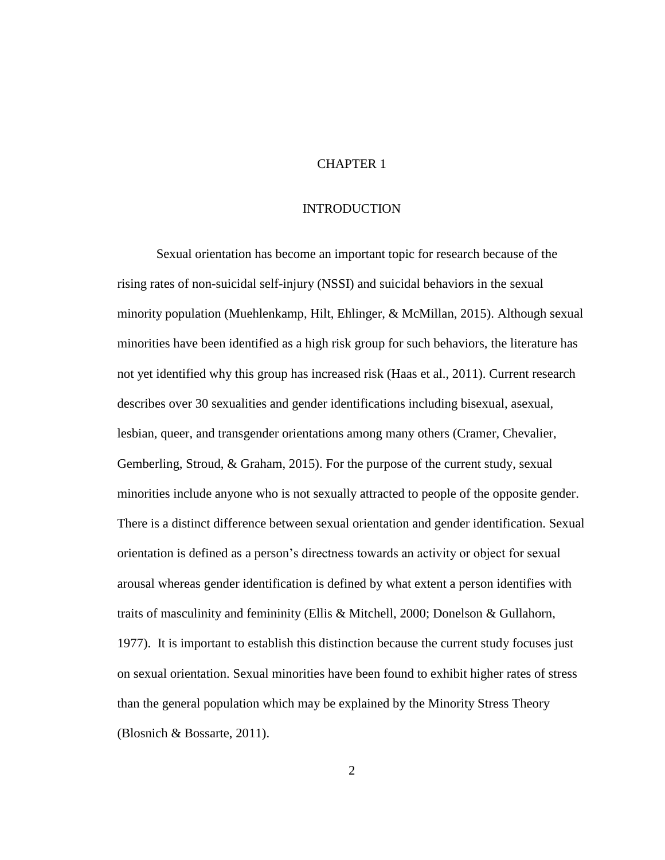#### CHAPTER 1

#### INTRODUCTION

Sexual orientation has become an important topic for research because of the rising rates of non-suicidal self-injury (NSSI) and suicidal behaviors in the sexual minority population (Muehlenkamp, Hilt, Ehlinger, & McMillan, 2015). Although sexual minorities have been identified as a high risk group for such behaviors, the literature has not yet identified why this group has increased risk (Haas et al., 2011). Current research describes over 30 sexualities and gender identifications including bisexual, asexual, lesbian, queer, and transgender orientations among many others (Cramer, Chevalier, Gemberling, Stroud, & Graham, 2015). For the purpose of the current study, sexual minorities include anyone who is not sexually attracted to people of the opposite gender. There is a distinct difference between sexual orientation and gender identification. Sexual orientation is defined as a person's directness towards an activity or object for sexual arousal whereas gender identification is defined by what extent a person identifies with traits of masculinity and femininity (Ellis & Mitchell, 2000; Donelson & Gullahorn, 1977). It is important to establish this distinction because the current study focuses just on sexual orientation. Sexual minorities have been found to exhibit higher rates of stress than the general population which may be explained by the Minority Stress Theory (Blosnich & Bossarte, 2011).

2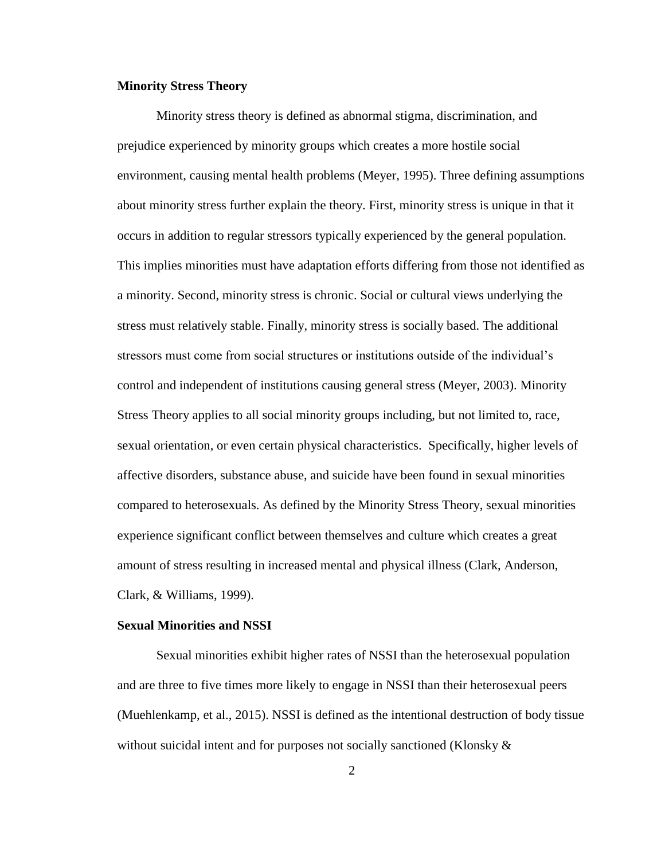#### **Minority Stress Theory**

Minority stress theory is defined as abnormal stigma, discrimination, and prejudice experienced by minority groups which creates a more hostile social environment, causing mental health problems (Meyer, 1995). Three defining assumptions about minority stress further explain the theory. First, minority stress is unique in that it occurs in addition to regular stressors typically experienced by the general population. This implies minorities must have adaptation efforts differing from those not identified as a minority. Second, minority stress is chronic. Social or cultural views underlying the stress must relatively stable. Finally, minority stress is socially based. The additional stressors must come from social structures or institutions outside of the individual's control and independent of institutions causing general stress (Meyer, 2003). Minority Stress Theory applies to all social minority groups including, but not limited to, race, sexual orientation, or even certain physical characteristics. Specifically, higher levels of affective disorders, substance abuse, and suicide have been found in sexual minorities compared to heterosexuals. As defined by the Minority Stress Theory, sexual minorities experience significant conflict between themselves and culture which creates a great amount of stress resulting in increased mental and physical illness (Clark, Anderson, Clark, & Williams, 1999).

#### **Sexual Minorities and NSSI**

Sexual minorities exhibit higher rates of NSSI than the heterosexual population and are three to five times more likely to engage in NSSI than their heterosexual peers (Muehlenkamp, et al., 2015). NSSI is defined as the intentional destruction of body tissue without suicidal intent and for purposes not socially sanctioned (Klonsky  $\&$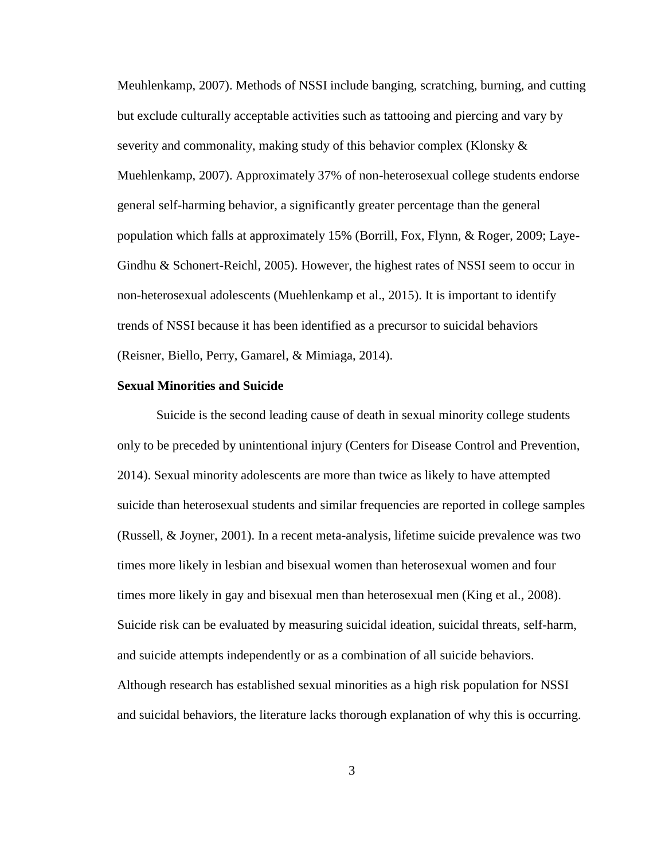Meuhlenkamp, 2007). Methods of NSSI include banging, scratching, burning, and cutting but exclude culturally acceptable activities such as tattooing and piercing and vary by severity and commonality, making study of this behavior complex (Klonsky & Muehlenkamp, 2007). Approximately 37% of non-heterosexual college students endorse general self-harming behavior, a significantly greater percentage than the general population which falls at approximately 15% (Borrill, Fox, Flynn, & Roger, 2009; Laye-Gindhu & Schonert-Reichl, 2005). However, the highest rates of NSSI seem to occur in non-heterosexual adolescents (Muehlenkamp et al., 2015). It is important to identify trends of NSSI because it has been identified as a precursor to suicidal behaviors (Reisner, Biello, Perry, Gamarel, & Mimiaga, 2014).

#### **Sexual Minorities and Suicide**

Suicide is the second leading cause of death in sexual minority college students only to be preceded by unintentional injury (Centers for Disease Control and Prevention, 2014). Sexual minority adolescents are more than twice as likely to have attempted suicide than heterosexual students and similar frequencies are reported in college samples (Russell, & Joyner, 2001). In a recent meta-analysis, lifetime suicide prevalence was two times more likely in lesbian and bisexual women than heterosexual women and four times more likely in gay and bisexual men than heterosexual men (King et al., 2008). Suicide risk can be evaluated by measuring suicidal ideation, suicidal threats, self-harm, and suicide attempts independently or as a combination of all suicide behaviors. Although research has established sexual minorities as a high risk population for NSSI and suicidal behaviors, the literature lacks thorough explanation of why this is occurring.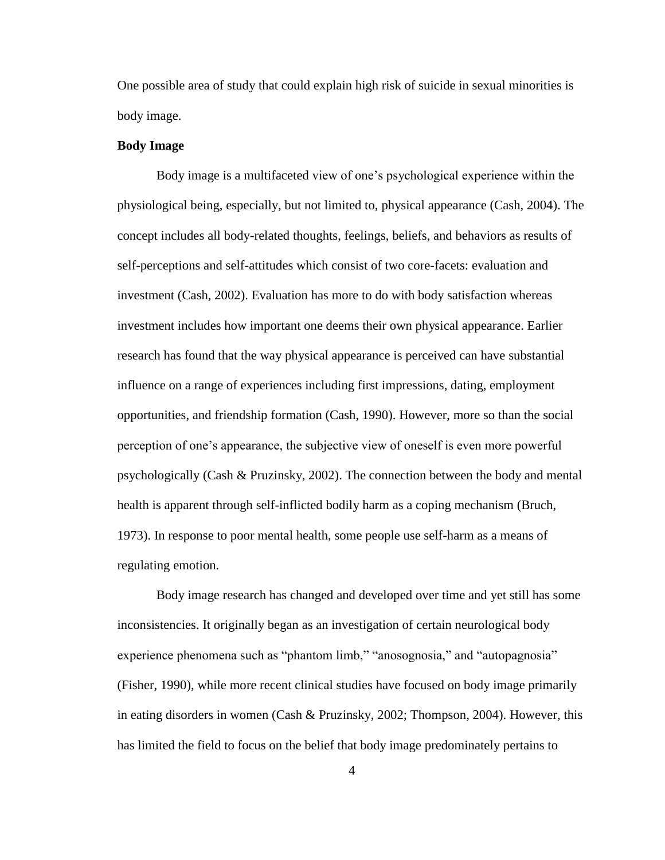One possible area of study that could explain high risk of suicide in sexual minorities is body image.

#### **Body Image**

Body image is a multifaceted view of one's psychological experience within the physiological being, especially, but not limited to, physical appearance (Cash, 2004). The concept includes all body-related thoughts, feelings, beliefs, and behaviors as results of self-perceptions and self-attitudes which consist of two core-facets: evaluation and investment (Cash, 2002). Evaluation has more to do with body satisfaction whereas investment includes how important one deems their own physical appearance. Earlier research has found that the way physical appearance is perceived can have substantial influence on a range of experiences including first impressions, dating, employment opportunities, and friendship formation (Cash, 1990). However, more so than the social perception of one's appearance, the subjective view of oneself is even more powerful psychologically (Cash & Pruzinsky, 2002). The connection between the body and mental health is apparent through self-inflicted bodily harm as a coping mechanism (Bruch, 1973). In response to poor mental health, some people use self-harm as a means of regulating emotion.

Body image research has changed and developed over time and yet still has some inconsistencies. It originally began as an investigation of certain neurological body experience phenomena such as "phantom limb," "anosognosia," and "autopagnosia" (Fisher, 1990), while more recent clinical studies have focused on body image primarily in eating disorders in women (Cash & Pruzinsky, 2002; Thompson, 2004). However, this has limited the field to focus on the belief that body image predominately pertains to

4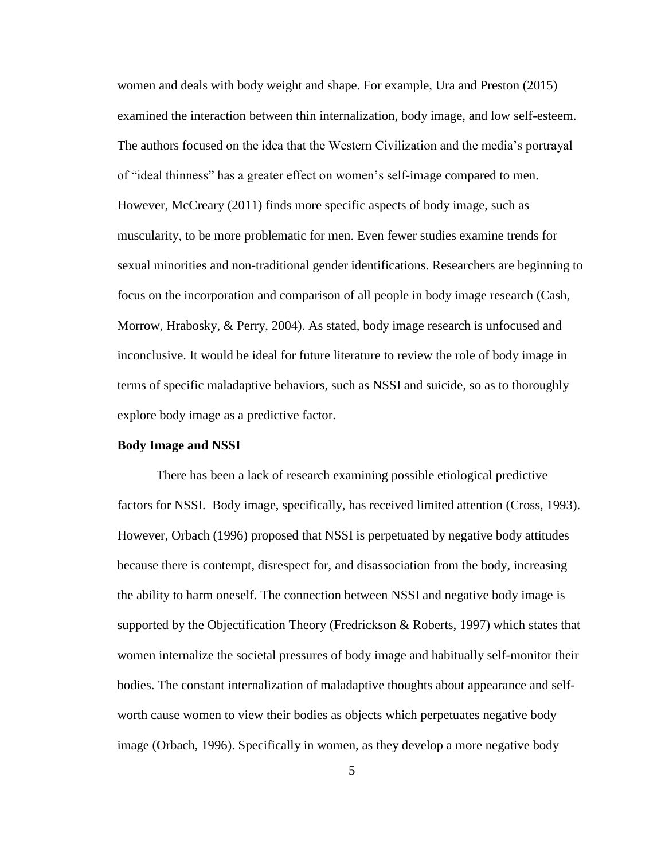women and deals with body weight and shape. For example, Ura and Preston (2015) examined the interaction between thin internalization, body image, and low self-esteem. The authors focused on the idea that the Western Civilization and the media's portrayal of "ideal thinness" has a greater effect on women's self-image compared to men. However, McCreary (2011) finds more specific aspects of body image, such as muscularity, to be more problematic for men. Even fewer studies examine trends for sexual minorities and non-traditional gender identifications. Researchers are beginning to focus on the incorporation and comparison of all people in body image research (Cash, Morrow, Hrabosky, & Perry, 2004). As stated, body image research is unfocused and inconclusive. It would be ideal for future literature to review the role of body image in terms of specific maladaptive behaviors, such as NSSI and suicide, so as to thoroughly explore body image as a predictive factor.

#### **Body Image and NSSI**

There has been a lack of research examining possible etiological predictive factors for NSSI. Body image, specifically, has received limited attention (Cross, 1993). However, Orbach (1996) proposed that NSSI is perpetuated by negative body attitudes because there is contempt, disrespect for, and disassociation from the body, increasing the ability to harm oneself. The connection between NSSI and negative body image is supported by the Objectification Theory (Fredrickson & Roberts, 1997) which states that women internalize the societal pressures of body image and habitually self-monitor their bodies. The constant internalization of maladaptive thoughts about appearance and selfworth cause women to view their bodies as objects which perpetuates negative body image (Orbach, 1996). Specifically in women, as they develop a more negative body

5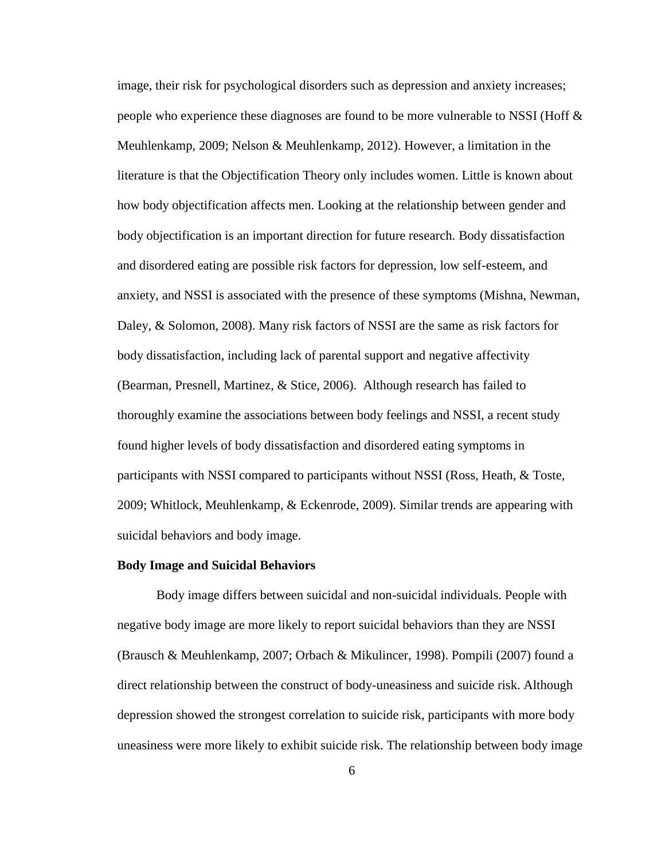image, their risk for psychological disorders such as depression and anxiety increases; people who experience these diagnoses are found to be more vulnerable to NSSI (Hoff & Meuhlenkamp, 2009; Nelson & Meuhlenkamp, 2012). However, a limitation in the literature is that the Objectification Theory only includes women. Little is known about how body objectification affects men. Looking at the relationship between gender and body objectification is an important direction for future research. Body dissatisfaction and disordered eating are possible risk factors for depression, low self-esteem, and anxiety, and NSSI is associated with the presence of these symptoms (Mishna, Newman, Daley, & Solomon, 2008). Many risk factors of NSSI are the same as risk factors for body dissatisfaction, including lack of parental support and negative affectivity (Bearman, Presnell, Martinez, & Stice, 2006). Although research has failed to thoroughly examine the associations between body feelings and NSSI, a recent study found higher levels of body dissatisfaction and disordered eating symptoms in participants with NSSI compared to participants without NSSI (Ross, Heath, & Toste, 2009; Whitlock, Meuhlenkamp, & Eckenrode, 2009). Similar trends are appearing with suicidal behaviors and body image.

#### **Body Image and Suicidal Behaviors**

Body image differs between suicidal and non-suicidal individuals. People with negative body image are more likely to report suicidal behaviors than they are NSSI (Brausch & Meuhlenkamp, 2007; Orbach & Mikulincer, 1998). Pompili (2007) found a direct relationship between the construct of body-uneasiness and suicide risk. Although depression showed the strongest correlation to suicide risk, participants with more body uneasiness were more likely to exhibit suicide risk. The relationship between body image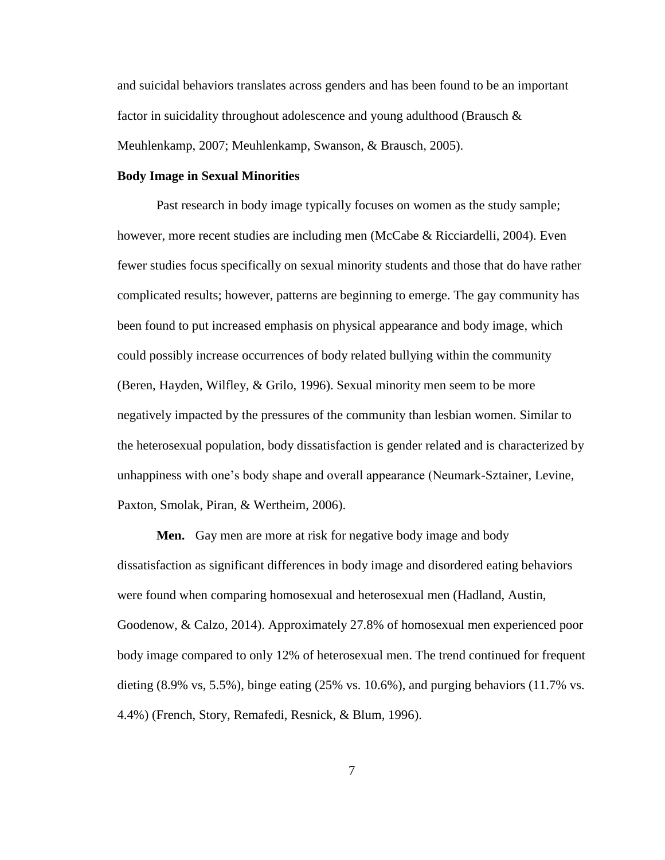and suicidal behaviors translates across genders and has been found to be an important factor in suicidality throughout adolescence and young adulthood (Brausch  $\&$ Meuhlenkamp, 2007; Meuhlenkamp, Swanson, & Brausch, 2005).

#### **Body Image in Sexual Minorities**

Past research in body image typically focuses on women as the study sample; however, more recent studies are including men (McCabe & Ricciardelli, 2004). Even fewer studies focus specifically on sexual minority students and those that do have rather complicated results; however, patterns are beginning to emerge. The gay community has been found to put increased emphasis on physical appearance and body image, which could possibly increase occurrences of body related bullying within the community (Beren, Hayden, Wilfley, & Grilo, 1996). Sexual minority men seem to be more negatively impacted by the pressures of the community than lesbian women. Similar to the heterosexual population, body dissatisfaction is gender related and is characterized by unhappiness with one's body shape and overall appearance (Neumark-Sztainer, Levine, Paxton, Smolak, Piran, & Wertheim, 2006).

**Men.** Gay men are more at risk for negative body image and body dissatisfaction as significant differences in body image and disordered eating behaviors were found when comparing homosexual and heterosexual men (Hadland, Austin, Goodenow, & Calzo, 2014). Approximately 27.8% of homosexual men experienced poor body image compared to only 12% of heterosexual men. The trend continued for frequent dieting  $(8.9\% \text{ vs. } 5.5\%)$ , binge eating  $(25\% \text{ vs. } 10.6\%)$ , and purging behaviors  $(11.7\% \text{ vs. } 10.6\%)$ 4.4%) (French, Story, Remafedi, Resnick, & Blum, 1996).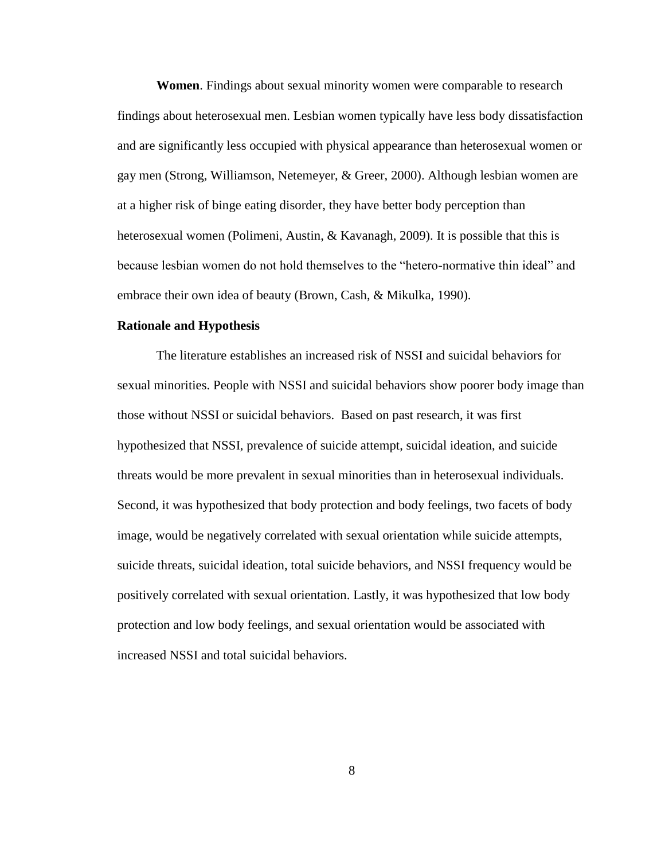**Women**. Findings about sexual minority women were comparable to research findings about heterosexual men. Lesbian women typically have less body dissatisfaction and are significantly less occupied with physical appearance than heterosexual women or gay men (Strong, Williamson, Netemeyer, & Greer, 2000). Although lesbian women are at a higher risk of binge eating disorder, they have better body perception than heterosexual women (Polimeni, Austin, & Kavanagh, 2009). It is possible that this is because lesbian women do not hold themselves to the "hetero-normative thin ideal" and embrace their own idea of beauty (Brown, Cash, & Mikulka, 1990).

#### **Rationale and Hypothesis**

The literature establishes an increased risk of NSSI and suicidal behaviors for sexual minorities. People with NSSI and suicidal behaviors show poorer body image than those without NSSI or suicidal behaviors. Based on past research, it was first hypothesized that NSSI, prevalence of suicide attempt, suicidal ideation, and suicide threats would be more prevalent in sexual minorities than in heterosexual individuals. Second, it was hypothesized that body protection and body feelings, two facets of body image, would be negatively correlated with sexual orientation while suicide attempts, suicide threats, suicidal ideation, total suicide behaviors, and NSSI frequency would be positively correlated with sexual orientation. Lastly, it was hypothesized that low body protection and low body feelings, and sexual orientation would be associated with increased NSSI and total suicidal behaviors.

8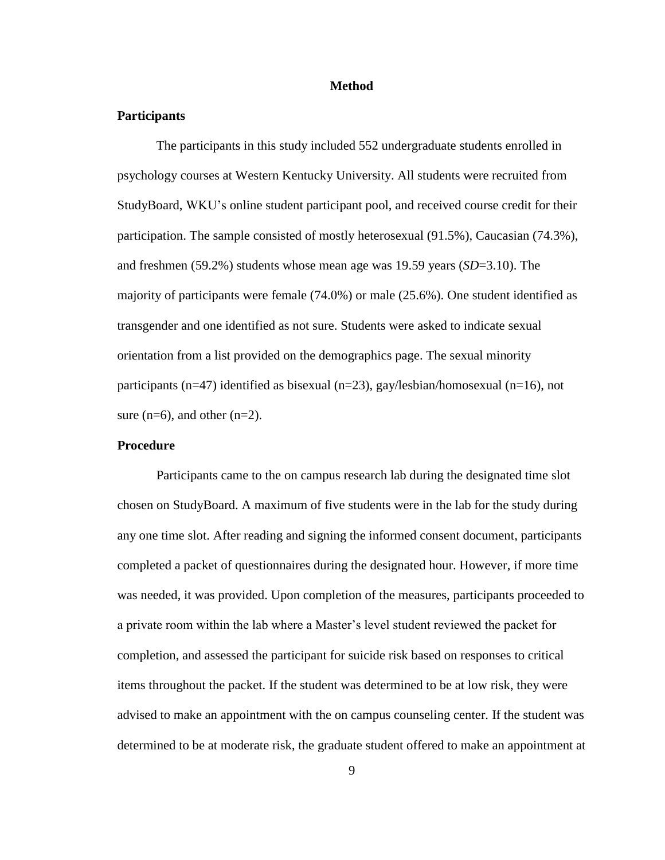#### **Method**

#### **Participants**

The participants in this study included 552 undergraduate students enrolled in psychology courses at Western Kentucky University. All students were recruited from StudyBoard, WKU's online student participant pool, and received course credit for their participation. The sample consisted of mostly heterosexual (91.5%), Caucasian (74.3%), and freshmen (59.2%) students whose mean age was 19.59 years (*SD*=3.10). The majority of participants were female (74.0%) or male (25.6%). One student identified as transgender and one identified as not sure. Students were asked to indicate sexual orientation from a list provided on the demographics page. The sexual minority participants (n=47) identified as bisexual (n=23), gay/lesbian/homosexual (n=16), not sure  $(n=6)$ , and other  $(n=2)$ .

#### **Procedure**

Participants came to the on campus research lab during the designated time slot chosen on StudyBoard. A maximum of five students were in the lab for the study during any one time slot. After reading and signing the informed consent document, participants completed a packet of questionnaires during the designated hour. However, if more time was needed, it was provided. Upon completion of the measures, participants proceeded to a private room within the lab where a Master's level student reviewed the packet for completion, and assessed the participant for suicide risk based on responses to critical items throughout the packet. If the student was determined to be at low risk, they were advised to make an appointment with the on campus counseling center. If the student was determined to be at moderate risk, the graduate student offered to make an appointment at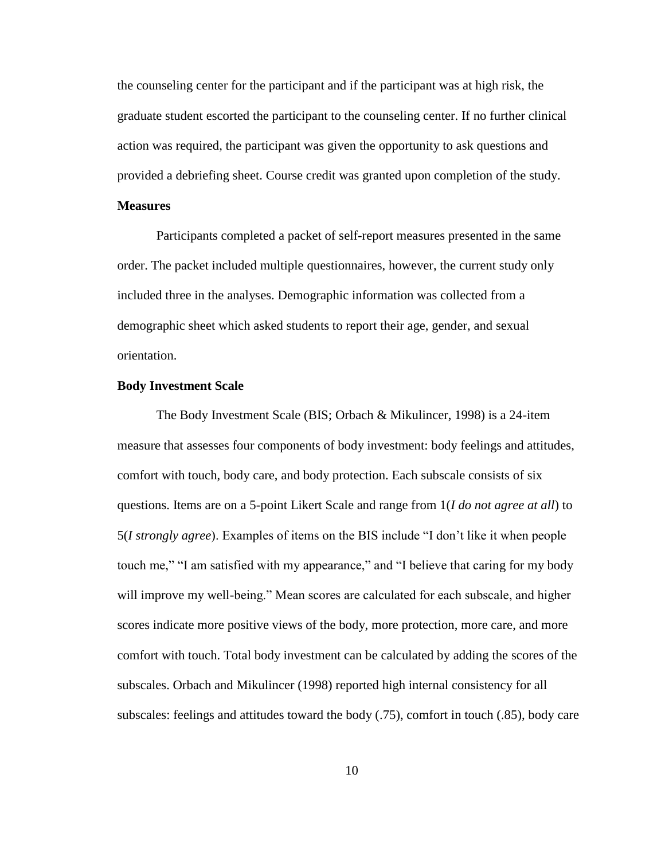the counseling center for the participant and if the participant was at high risk, the graduate student escorted the participant to the counseling center. If no further clinical action was required, the participant was given the opportunity to ask questions and provided a debriefing sheet. Course credit was granted upon completion of the study.

#### **Measures**

Participants completed a packet of self-report measures presented in the same order. The packet included multiple questionnaires, however, the current study only included three in the analyses. Demographic information was collected from a demographic sheet which asked students to report their age, gender, and sexual orientation.

#### **Body Investment Scale**

The Body Investment Scale (BIS; Orbach & Mikulincer, 1998) is a 24-item measure that assesses four components of body investment: body feelings and attitudes, comfort with touch, body care, and body protection. Each subscale consists of six questions. Items are on a 5-point Likert Scale and range from 1(*I do not agree at all*) to 5(*I strongly agree*). Examples of items on the BIS include "I don't like it when people touch me," "I am satisfied with my appearance," and "I believe that caring for my body will improve my well-being." Mean scores are calculated for each subscale, and higher scores indicate more positive views of the body, more protection, more care, and more comfort with touch. Total body investment can be calculated by adding the scores of the subscales. Orbach and Mikulincer (1998) reported high internal consistency for all subscales: feelings and attitudes toward the body (.75), comfort in touch (.85), body care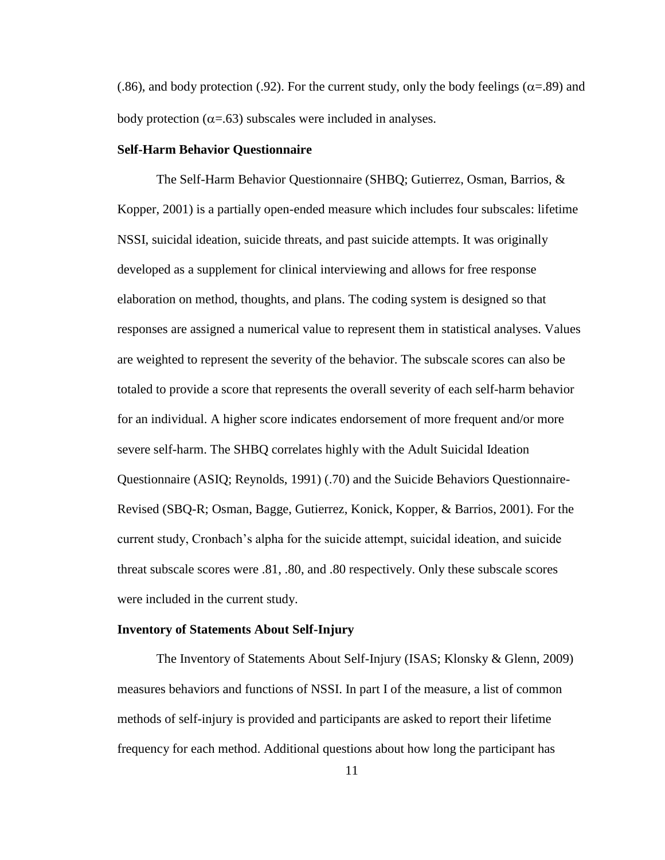(.86), and body protection (.92). For the current study, only the body feelings ( $\alpha$ =.89) and body protection ( $\alpha = .63$ ) subscales were included in analyses.

#### **Self-Harm Behavior Questionnaire**

The Self-Harm Behavior Questionnaire (SHBQ; Gutierrez, Osman, Barrios, & Kopper, 2001) is a partially open-ended measure which includes four subscales: lifetime NSSI, suicidal ideation, suicide threats, and past suicide attempts. It was originally developed as a supplement for clinical interviewing and allows for free response elaboration on method, thoughts, and plans. The coding system is designed so that responses are assigned a numerical value to represent them in statistical analyses. Values are weighted to represent the severity of the behavior. The subscale scores can also be totaled to provide a score that represents the overall severity of each self-harm behavior for an individual. A higher score indicates endorsement of more frequent and/or more severe self-harm. The SHBQ correlates highly with the Adult Suicidal Ideation Questionnaire (ASIQ; Reynolds, 1991) (.70) and the Suicide Behaviors Questionnaire-Revised (SBQ-R; Osman, Bagge, Gutierrez, Konick, Kopper, & Barrios, 2001). For the current study, Cronbach's alpha for the suicide attempt, suicidal ideation, and suicide threat subscale scores were .81, .80, and .80 respectively. Only these subscale scores were included in the current study.

#### **Inventory of Statements About Self-Injury**

The Inventory of Statements About Self-Injury (ISAS; Klonsky & Glenn, 2009) measures behaviors and functions of NSSI. In part I of the measure, a list of common methods of self-injury is provided and participants are asked to report their lifetime frequency for each method. Additional questions about how long the participant has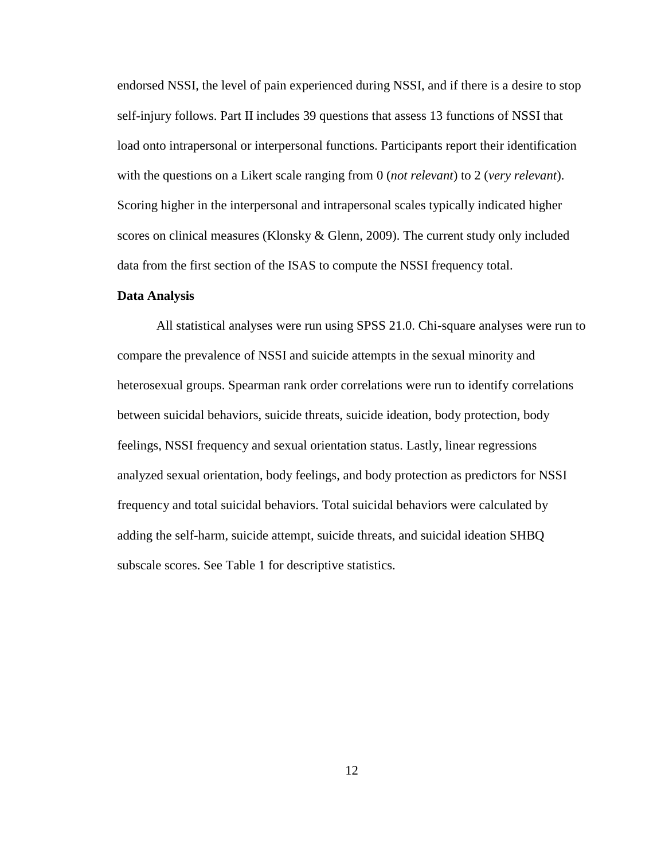endorsed NSSI, the level of pain experienced during NSSI, and if there is a desire to stop self-injury follows. Part II includes 39 questions that assess 13 functions of NSSI that load onto intrapersonal or interpersonal functions. Participants report their identification with the questions on a Likert scale ranging from 0 (*not relevant*) to 2 (*very relevant*). Scoring higher in the interpersonal and intrapersonal scales typically indicated higher scores on clinical measures (Klonsky & Glenn, 2009). The current study only included data from the first section of the ISAS to compute the NSSI frequency total.

#### **Data Analysis**

All statistical analyses were run using SPSS 21.0. Chi-square analyses were run to compare the prevalence of NSSI and suicide attempts in the sexual minority and heterosexual groups. Spearman rank order correlations were run to identify correlations between suicidal behaviors, suicide threats, suicide ideation, body protection, body feelings, NSSI frequency and sexual orientation status. Lastly, linear regressions analyzed sexual orientation, body feelings, and body protection as predictors for NSSI frequency and total suicidal behaviors. Total suicidal behaviors were calculated by adding the self-harm, suicide attempt, suicide threats, and suicidal ideation SHBQ subscale scores. See Table 1 for descriptive statistics.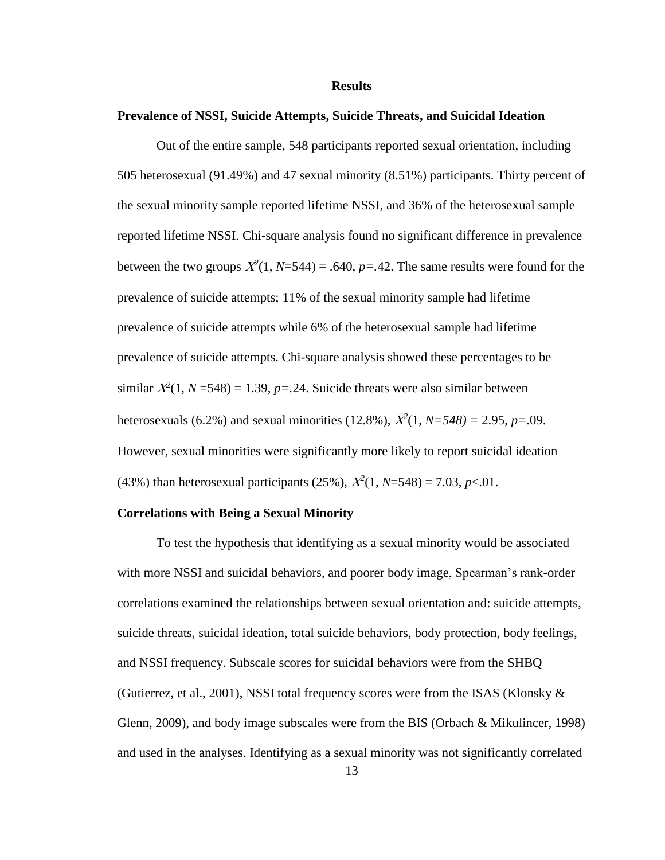#### **Results**

#### **Prevalence of NSSI, Suicide Attempts, Suicide Threats, and Suicidal Ideation**

Out of the entire sample, 548 participants reported sexual orientation, including 505 heterosexual (91.49%) and 47 sexual minority (8.51%) participants. Thirty percent of the sexual minority sample reported lifetime NSSI, and 36% of the heterosexual sample reported lifetime NSSI. Chi-square analysis found no significant difference in prevalence between the two groups  $\mathcal{X}^2(1, \mathcal{N}=544) = .640$ ,  $p=.42$ . The same results were found for the prevalence of suicide attempts; 11% of the sexual minority sample had lifetime prevalence of suicide attempts while 6% of the heterosexual sample had lifetime prevalence of suicide attempts. Chi-square analysis showed these percentages to be similar  $X^2(1, N=548) = 1.39$ ,  $p=.24$ . Suicide threats were also similar between heterosexuals (6.2%) and sexual minorities (12.8%),  $X^2(1, N=548) = 2.95$ ,  $p=.09$ . However, sexual minorities were significantly more likely to report suicidal ideation (43%) than heterosexual participants (25%),  $\chi^2(1, N=548) = 7.03$ ,  $p < 01$ .

#### **Correlations with Being a Sexual Minority**

To test the hypothesis that identifying as a sexual minority would be associated with more NSSI and suicidal behaviors, and poorer body image, Spearman's rank-order correlations examined the relationships between sexual orientation and: suicide attempts, suicide threats, suicidal ideation, total suicide behaviors, body protection, body feelings, and NSSI frequency. Subscale scores for suicidal behaviors were from the SHBQ (Gutierrez, et al., 2001), NSSI total frequency scores were from the ISAS (Klonsky & Glenn, 2009), and body image subscales were from the BIS (Orbach & Mikulincer, 1998) and used in the analyses. Identifying as a sexual minority was not significantly correlated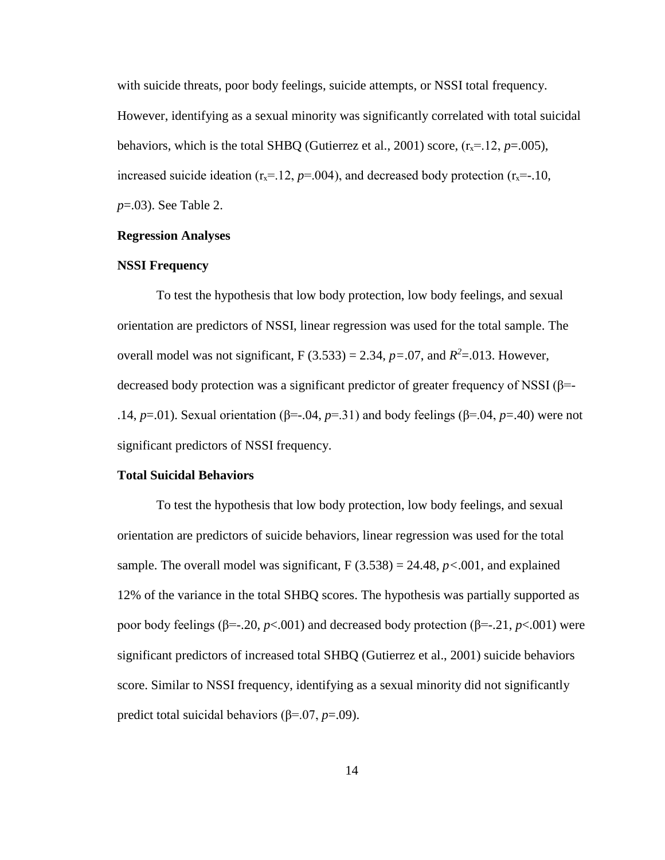with suicide threats, poor body feelings, suicide attempts, or NSSI total frequency. However, identifying as a sexual minority was significantly correlated with total suicidal behaviors, which is the total SHBQ (Gutierrez et al., 2001) score,  $(r<sub>x</sub>=12, p=.005)$ , increased suicide ideation  $(r_x=12, p=0.04)$ , and decreased body protection  $(r_x=-10, p=0.04)$ *p*=.03). See Table 2.

#### **Regression Analyses**

#### **NSSI Frequency**

To test the hypothesis that low body protection, low body feelings, and sexual orientation are predictors of NSSI, linear regression was used for the total sample. The overall model was not significant,  $F(3.533) = 2.34$ ,  $p = .07$ , and  $R^2 = .013$ . However, decreased body protection was a significant predictor of greater frequency of NSSI ( $\beta$ =-.14, *p*=.01). Sexual orientation (β=-.04, *p*=.31) and body feelings (β=.04, *p*=.40) were not significant predictors of NSSI frequency.

#### **Total Suicidal Behaviors**

To test the hypothesis that low body protection, low body feelings, and sexual orientation are predictors of suicide behaviors, linear regression was used for the total sample. The overall model was significant,  $F(3.538) = 24.48$ ,  $p < .001$ , and explained 12% of the variance in the total SHBQ scores. The hypothesis was partially supported as poor body feelings (β=-.20, *p*<.001) and decreased body protection (β=-.21, *p*<.001) were significant predictors of increased total SHBQ (Gutierrez et al., 2001) suicide behaviors score. Similar to NSSI frequency, identifying as a sexual minority did not significantly predict total suicidal behaviors (β=.07, *p*=.09).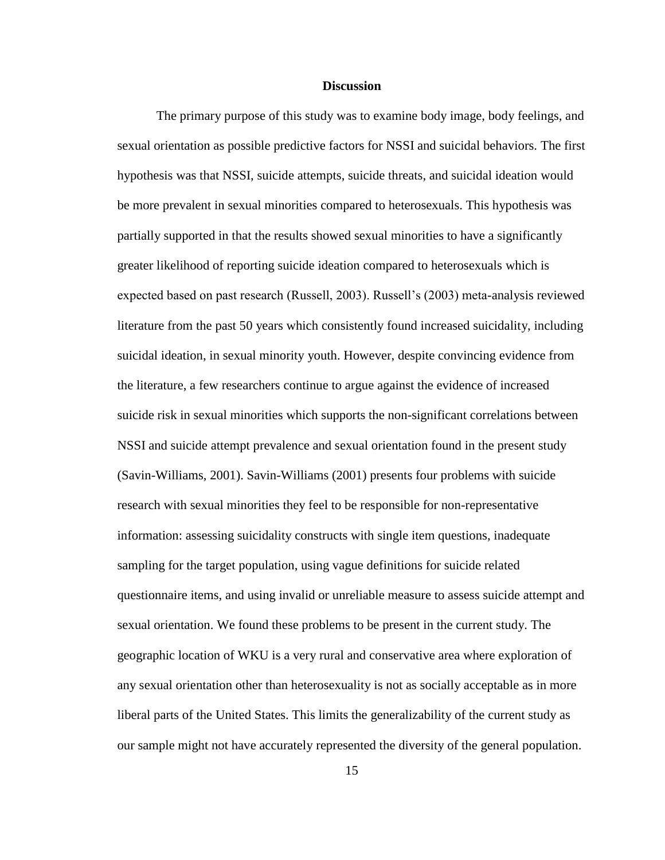#### **Discussion**

The primary purpose of this study was to examine body image, body feelings, and sexual orientation as possible predictive factors for NSSI and suicidal behaviors. The first hypothesis was that NSSI, suicide attempts, suicide threats, and suicidal ideation would be more prevalent in sexual minorities compared to heterosexuals. This hypothesis was partially supported in that the results showed sexual minorities to have a significantly greater likelihood of reporting suicide ideation compared to heterosexuals which is expected based on past research (Russell, 2003). Russell's (2003) meta-analysis reviewed literature from the past 50 years which consistently found increased suicidality, including suicidal ideation, in sexual minority youth. However, despite convincing evidence from the literature, a few researchers continue to argue against the evidence of increased suicide risk in sexual minorities which supports the non-significant correlations between NSSI and suicide attempt prevalence and sexual orientation found in the present study (Savin-Williams, 2001). Savin-Williams (2001) presents four problems with suicide research with sexual minorities they feel to be responsible for non-representative information: assessing suicidality constructs with single item questions, inadequate sampling for the target population, using vague definitions for suicide related questionnaire items, and using invalid or unreliable measure to assess suicide attempt and sexual orientation. We found these problems to be present in the current study. The geographic location of WKU is a very rural and conservative area where exploration of any sexual orientation other than heterosexuality is not as socially acceptable as in more liberal parts of the United States. This limits the generalizability of the current study as our sample might not have accurately represented the diversity of the general population.

15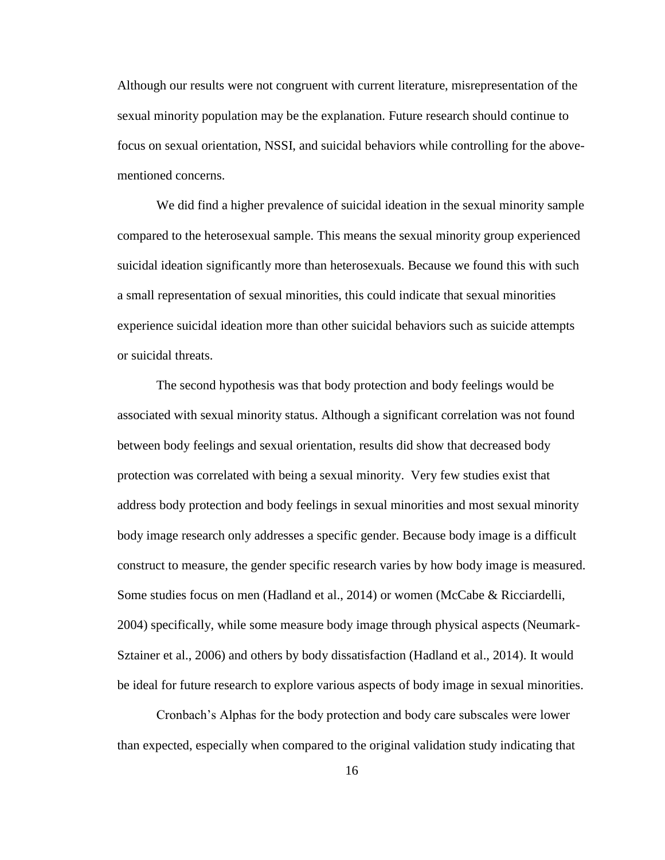Although our results were not congruent with current literature, misrepresentation of the sexual minority population may be the explanation. Future research should continue to focus on sexual orientation, NSSI, and suicidal behaviors while controlling for the abovementioned concerns.

We did find a higher prevalence of suicidal ideation in the sexual minority sample compared to the heterosexual sample. This means the sexual minority group experienced suicidal ideation significantly more than heterosexuals. Because we found this with such a small representation of sexual minorities, this could indicate that sexual minorities experience suicidal ideation more than other suicidal behaviors such as suicide attempts or suicidal threats.

The second hypothesis was that body protection and body feelings would be associated with sexual minority status. Although a significant correlation was not found between body feelings and sexual orientation, results did show that decreased body protection was correlated with being a sexual minority. Very few studies exist that address body protection and body feelings in sexual minorities and most sexual minority body image research only addresses a specific gender. Because body image is a difficult construct to measure, the gender specific research varies by how body image is measured. Some studies focus on men (Hadland et al., 2014) or women (McCabe & Ricciardelli, 2004) specifically, while some measure body image through physical aspects (Neumark-Sztainer et al., 2006) and others by body dissatisfaction (Hadland et al., 2014). It would be ideal for future research to explore various aspects of body image in sexual minorities.

Cronbach's Alphas for the body protection and body care subscales were lower than expected, especially when compared to the original validation study indicating that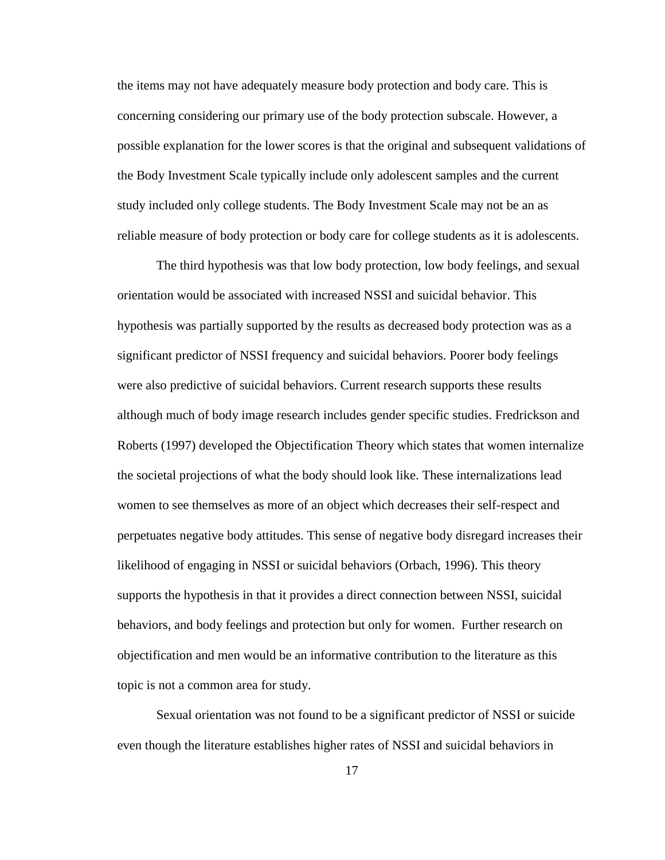the items may not have adequately measure body protection and body care. This is concerning considering our primary use of the body protection subscale. However, a possible explanation for the lower scores is that the original and subsequent validations of the Body Investment Scale typically include only adolescent samples and the current study included only college students. The Body Investment Scale may not be an as reliable measure of body protection or body care for college students as it is adolescents.

The third hypothesis was that low body protection, low body feelings, and sexual orientation would be associated with increased NSSI and suicidal behavior. This hypothesis was partially supported by the results as decreased body protection was as a significant predictor of NSSI frequency and suicidal behaviors. Poorer body feelings were also predictive of suicidal behaviors. Current research supports these results although much of body image research includes gender specific studies. Fredrickson and Roberts (1997) developed the Objectification Theory which states that women internalize the societal projections of what the body should look like. These internalizations lead women to see themselves as more of an object which decreases their self-respect and perpetuates negative body attitudes. This sense of negative body disregard increases their likelihood of engaging in NSSI or suicidal behaviors (Orbach, 1996). This theory supports the hypothesis in that it provides a direct connection between NSSI, suicidal behaviors, and body feelings and protection but only for women. Further research on objectification and men would be an informative contribution to the literature as this topic is not a common area for study.

Sexual orientation was not found to be a significant predictor of NSSI or suicide even though the literature establishes higher rates of NSSI and suicidal behaviors in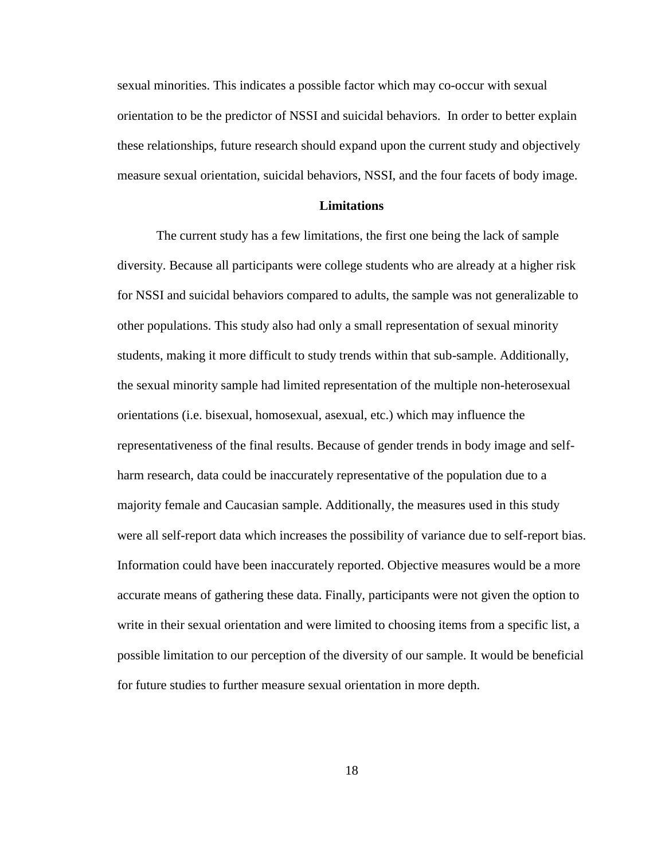sexual minorities. This indicates a possible factor which may co-occur with sexual orientation to be the predictor of NSSI and suicidal behaviors. In order to better explain these relationships, future research should expand upon the current study and objectively measure sexual orientation, suicidal behaviors, NSSI, and the four facets of body image.

#### **Limitations**

The current study has a few limitations, the first one being the lack of sample diversity. Because all participants were college students who are already at a higher risk for NSSI and suicidal behaviors compared to adults, the sample was not generalizable to other populations. This study also had only a small representation of sexual minority students, making it more difficult to study trends within that sub-sample. Additionally, the sexual minority sample had limited representation of the multiple non-heterosexual orientations (i.e. bisexual, homosexual, asexual, etc.) which may influence the representativeness of the final results. Because of gender trends in body image and selfharm research, data could be inaccurately representative of the population due to a majority female and Caucasian sample. Additionally, the measures used in this study were all self-report data which increases the possibility of variance due to self-report bias. Information could have been inaccurately reported. Objective measures would be a more accurate means of gathering these data. Finally, participants were not given the option to write in their sexual orientation and were limited to choosing items from a specific list, a possible limitation to our perception of the diversity of our sample. It would be beneficial for future studies to further measure sexual orientation in more depth.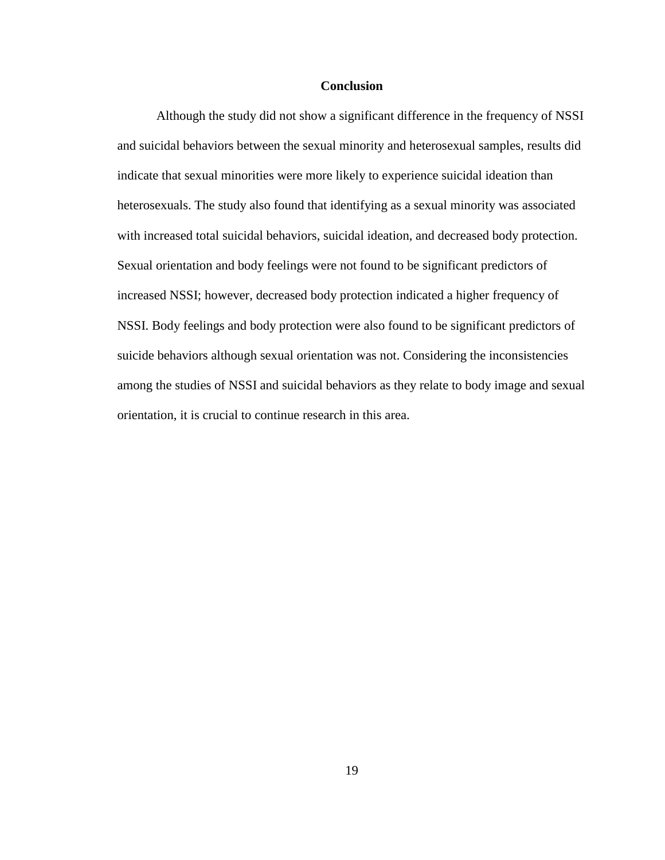#### **Conclusion**

Although the study did not show a significant difference in the frequency of NSSI and suicidal behaviors between the sexual minority and heterosexual samples, results did indicate that sexual minorities were more likely to experience suicidal ideation than heterosexuals. The study also found that identifying as a sexual minority was associated with increased total suicidal behaviors, suicidal ideation, and decreased body protection. Sexual orientation and body feelings were not found to be significant predictors of increased NSSI; however, decreased body protection indicated a higher frequency of NSSI. Body feelings and body protection were also found to be significant predictors of suicide behaviors although sexual orientation was not. Considering the inconsistencies among the studies of NSSI and suicidal behaviors as they relate to body image and sexual orientation, it is crucial to continue research in this area.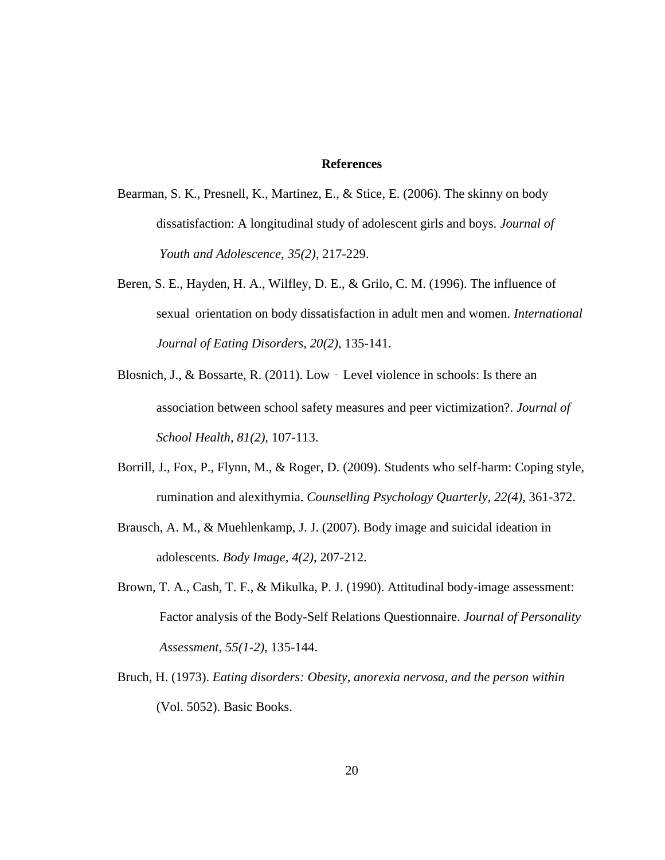#### **References**

- Bearman, S. K., Presnell, K., Martinez, E., & Stice, E. (2006). The skinny on body dissatisfaction: A longitudinal study of adolescent girls and boys. *Journal of Youth and Adolescence, 35(2)*, 217-229.
- Beren, S. E., Hayden, H. A., Wilfley, D. E., & Grilo, C. M. (1996). The influence of sexual orientation on body dissatisfaction in adult men and women. *International Journal of Eating Disorders, 20(2)*, 135-141.
- Blosnich, J., & Bossarte, R. (2011). Low Level violence in schools: Is there an association between school safety measures and peer victimization?. *Journal of School Health, 81(2),* 107-113.
- Borrill, J., Fox, P., Flynn, M., & Roger, D. (2009). Students who self-harm: Coping style, rumination and alexithymia. *Counselling Psychology Quarterly, 22(4)*, 361-372.
- Brausch, A. M., & Muehlenkamp, J. J. (2007). Body image and suicidal ideation in adolescents. *Body Image, 4(2)*, 207-212.
- Brown, T. A., Cash, T. F., & Mikulka, P. J. (1990). Attitudinal body-image assessment: Factor analysis of the Body-Self Relations Questionnaire. *Journal of Personality Assessment, 55(1-2)*, 135-144.
- Bruch, H. (1973). *Eating disorders: Obesity, anorexia nervosa, and the person within* (Vol. 5052). Basic Books.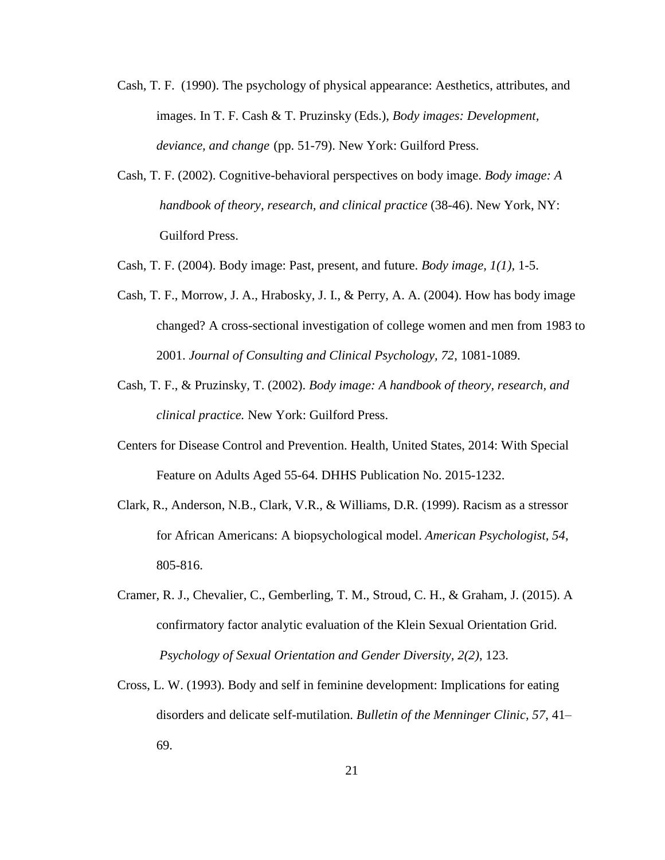- Cash, T. F. (1990). The psychology of physical appearance: Aesthetics, attributes, and images. In T. F. Cash & T. Pruzinsky (Eds.), *Body images: Development, deviance, and change* (pp. 51-79). New York: Guilford Press.
- Cash, T. F. (2002). Cognitive-behavioral perspectives on body image. *Body image: A handbook of theory, research, and clinical practice* (38-46). New York, NY: Guilford Press.
- Cash, T. F. (2004). Body image: Past, present, and future. *Body image, 1(1),* 1-5.
- Cash, T. F., Morrow, J. A., Hrabosky, J. I., & Perry, A. A. (2004). How has body image changed? A cross-sectional investigation of college women and men from 1983 to 2001. *Journal of Consulting and Clinical Psychology, 72*, 1081-1089.
- Cash, T. F., & Pruzinsky, T. (2002). *Body image: A handbook of theory, research, and clinical practice.* New York: Guilford Press.
- Centers for Disease Control and Prevention. Health, United States, 2014: With Special Feature on Adults Aged 55-64. DHHS Publication No. 2015-1232.
- Clark, R., Anderson, N.B., Clark, V.R., & Williams, D.R. (1999). Racism as a stressor for African Americans: A biopsychological model. *American Psychologist, 54*, 805-816.
- Cramer, R. J., Chevalier, C., Gemberling, T. M., Stroud, C. H., & Graham, J. (2015). A confirmatory factor analytic evaluation of the Klein Sexual Orientation Grid. *Psychology of Sexual Orientation and Gender Diversity, 2(2)*, 123.
- Cross, L. W. (1993). Body and self in feminine development: Implications for eating disorders and delicate self-mutilation. *Bulletin of the Menninger Clinic, 57*, 41– 69.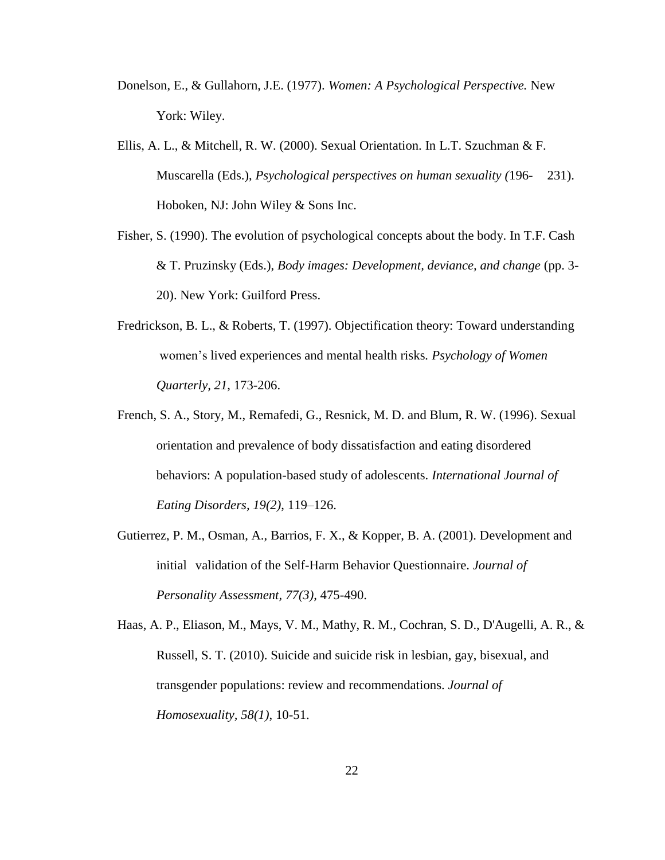- Donelson, E., & Gullahorn, J.E. (1977). *Women: A Psychological Perspective.* New York: Wiley.
- Ellis, A. L., & Mitchell, R. W. (2000). Sexual Orientation. In L.T. Szuchman & F. Muscarella (Eds.), *Psychological perspectives on human sexuality (*196- 231). Hoboken, NJ: John Wiley & Sons Inc.
- Fisher, S. (1990). The evolution of psychological concepts about the body. In T.F. Cash & T. Pruzinsky (Eds.), *Body images: Development, deviance, and change* (pp. 3- 20). New York: Guilford Press.
- Fredrickson, B. L., & Roberts, T. (1997). Objectification theory: Toward understanding women's lived experiences and mental health risks*. Psychology of Women Quarterly, 21*, 173-206.
- French, S. A., Story, M., Remafedi, G., Resnick, M. D. and Blum, R. W. (1996). Sexual orientation and prevalence of body dissatisfaction and eating disordered behaviors: A population-based study of adolescents. *International Journal of Eating Disorders, 19(2)*, 119–126.
- Gutierrez, P. M., Osman, A., Barrios, F. X., & Kopper, B. A. (2001). Development and initial validation of the Self-Harm Behavior Questionnaire. *Journal of Personality Assessment, 77(3)*, 475-490.

Haas, A. P., Eliason, M., Mays, V. M., Mathy, R. M., Cochran, S. D., D'Augelli, A. R., & Russell, S. T. (2010). Suicide and suicide risk in lesbian, gay, bisexual, and transgender populations: review and recommendations. *Journal of Homosexuality, 58(1)*, 10-51.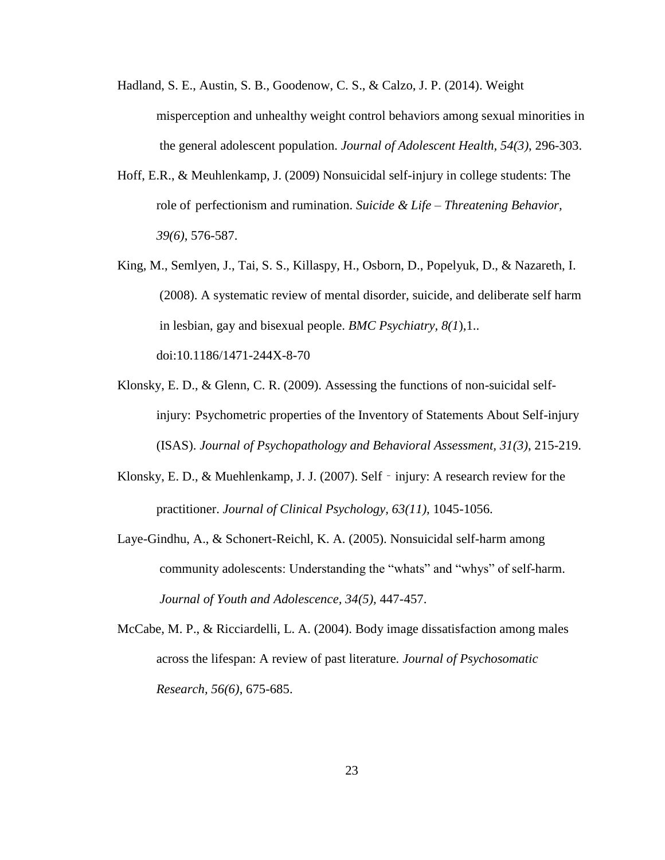- Hadland, S. E., Austin, S. B., Goodenow, C. S., & Calzo, J. P. (2014). Weight misperception and unhealthy weight control behaviors among sexual minorities in the general adolescent population. *Journal of Adolescent Health, 54(3)*, 296-303.
- Hoff, E.R., & Meuhlenkamp, J. (2009) Nonsuicidal self-injury in college students: The role of perfectionism and rumination. *Suicide & Life – Threatening Behavior, 39(6)*, 576-587.
- King, M., Semlyen, J., Tai, S. S., Killaspy, H., Osborn, D., Popelyuk, D., & Nazareth, I. (2008). A systematic review of mental disorder, suicide, and deliberate self harm in lesbian, gay and bisexual people. *BMC Psychiatry, 8(1*),1.. doi:10.1186/1471-244X-8-70
- Klonsky, E. D., & Glenn, C. R. (2009). Assessing the functions of non-suicidal selfinjury: Psychometric properties of the Inventory of Statements About Self-injury (ISAS). *Journal of Psychopathology and Behavioral Assessment, 31(3)*, 215-219.
- Klonsky, E. D., & Muehlenkamp, J. J. (2007). Self injury: A research review for the practitioner. *Journal of Clinical Psychology, 63(11)*, 1045-1056.
- Laye-Gindhu, A., & Schonert-Reichl, K. A. (2005). Nonsuicidal self-harm among community adolescents: Understanding the "whats" and "whys" of self-harm. *Journal of Youth and Adolescence, 34(5),* 447-457.
- McCabe, M. P., & Ricciardelli, L. A. (2004). Body image dissatisfaction among males across the lifespan: A review of past literature*. Journal of Psychosomatic Research, 56(6)*, 675-685.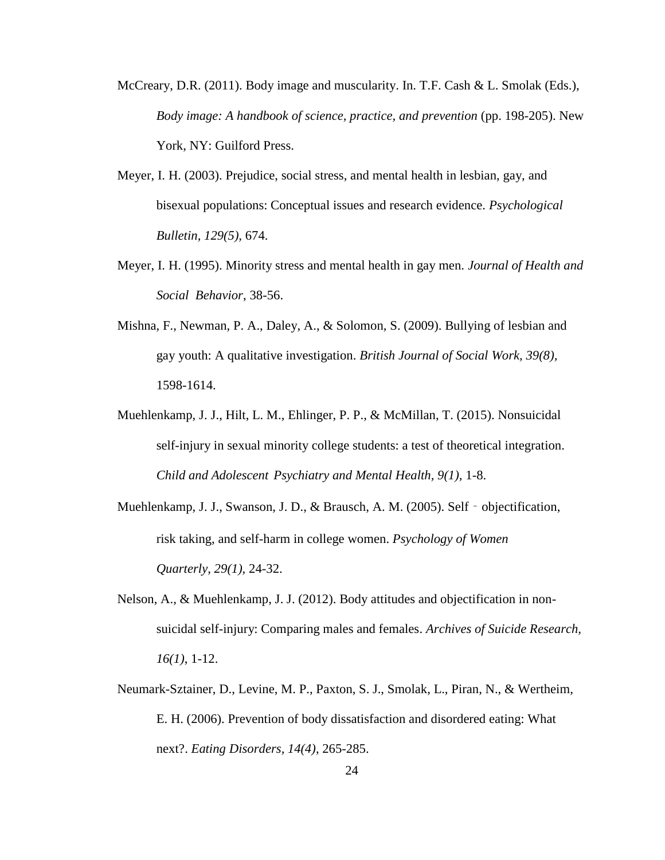- McCreary, D.R. (2011). Body image and muscularity. In. T.F. Cash & L. Smolak (Eds.), *Body image: A handbook of science, practice, and prevention* (pp. 198-205). New York, NY: Guilford Press.
- Meyer, I. H. (2003). Prejudice, social stress, and mental health in lesbian, gay, and bisexual populations: Conceptual issues and research evidence. *Psychological Bulletin, 129(5),* 674.
- Meyer, I. H. (1995). Minority stress and mental health in gay men. *Journal of Health and Social Behavior*, 38-56.
- Mishna, F., Newman, P. A., Daley, A., & Solomon, S. (2009). Bullying of lesbian and gay youth: A qualitative investigation. *British Journal of Social Work, 39(8),* 1598-1614.
- Muehlenkamp, J. J., Hilt, L. M., Ehlinger, P. P., & McMillan, T. (2015). Nonsuicidal self-injury in sexual minority college students: a test of theoretical integration. *Child and Adolescent Psychiatry and Mental Health, 9(1),* 1-8.
- Muehlenkamp, J. J., Swanson, J. D., & Brausch, A. M. (2005). Self objectification, risk taking, and self-harm in college women. *Psychology of Women Quarterly, 29(1),* 24-32.
- Nelson, A., & Muehlenkamp, J. J. (2012). Body attitudes and objectification in nonsuicidal self-injury: Comparing males and females. *Archives of Suicide Research, 16(1)*, 1-12.
- Neumark-Sztainer, D., Levine, M. P., Paxton, S. J., Smolak, L., Piran, N., & Wertheim, E. H. (2006). Prevention of body dissatisfaction and disordered eating: What next?. *Eating Disorders, 14(4)*, 265-285.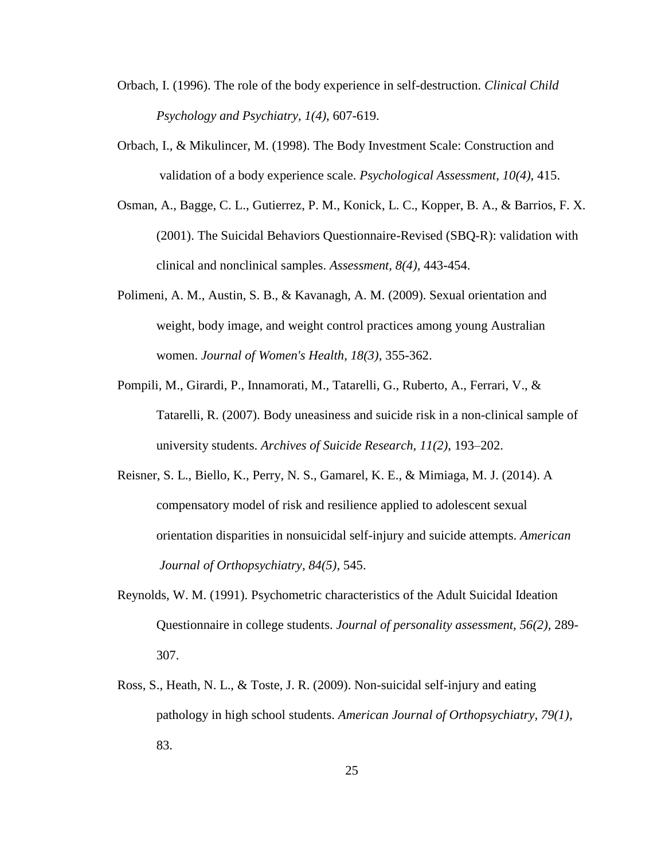- Orbach, I. (1996). The role of the body experience in self-destruction. *Clinical Child Psychology and Psychiatry, 1(4)*, 607-619.
- Orbach, I., & Mikulincer, M. (1998). The Body Investment Scale: Construction and validation of a body experience scale. *Psychological Assessment, 10(4),* 415.
- Osman, A., Bagge, C. L., Gutierrez, P. M., Konick, L. C., Kopper, B. A., & Barrios, F. X. (2001). The Suicidal Behaviors Questionnaire-Revised (SBQ-R): validation with clinical and nonclinical samples. *Assessment, 8(4),* 443-454.
- Polimeni, A. M., Austin, S. B., & Kavanagh, A. M. (2009). Sexual orientation and weight, body image, and weight control practices among young Australian women. *Journal of Women's Health, 18(3),* 355-362.
- Pompili, M., Girardi, P., Innamorati, M., Tatarelli, G., Ruberto, A., Ferrari, V., & Tatarelli, R. (2007). Body uneasiness and suicide risk in a non-clinical sample of university students. *Archives of Suicide Research, 11(2)*, 193–202.
- Reisner, S. L., Biello, K., Perry, N. S., Gamarel, K. E., & Mimiaga, M. J. (2014). A compensatory model of risk and resilience applied to adolescent sexual orientation disparities in nonsuicidal self-injury and suicide attempts. *American Journal of Orthopsychiatry, 84(5),* 545.
- Reynolds, W. M. (1991). Psychometric characteristics of the Adult Suicidal Ideation Questionnaire in college students. *Journal of personality assessment, 56(2),* 289- 307.
- Ross, S., Heath, N. L., & Toste, J. R. (2009). Non-suicidal self-injury and eating pathology in high school students. *American Journal of Orthopsychiatry, 79(1),* 83.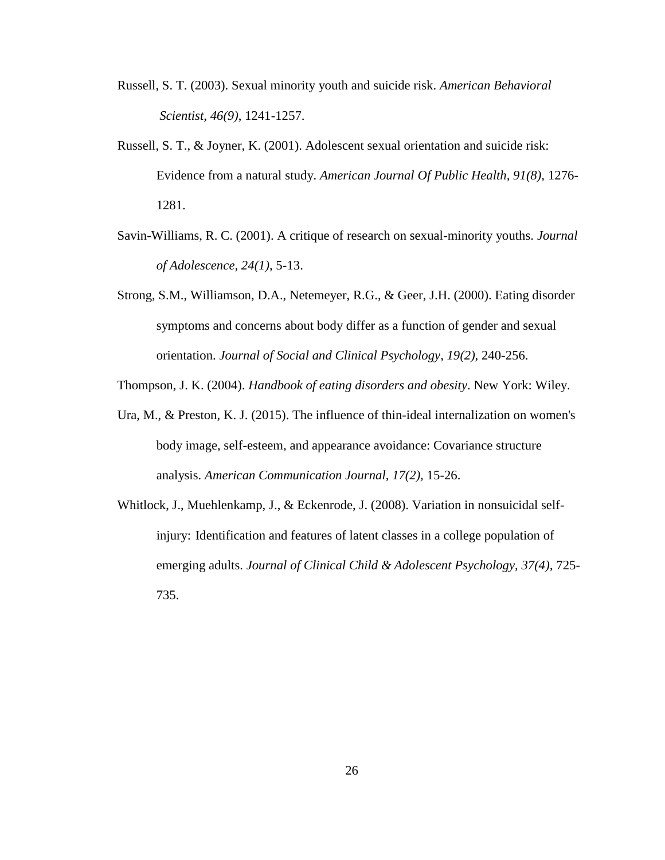- Russell, S. T. (2003). Sexual minority youth and suicide risk. *American Behavioral Scientist, 46(9)*, 1241-1257.
- Russell, S. T., & Joyner, K. (2001). Adolescent sexual orientation and suicide risk: Evidence from a natural study. *American Journal Of Public Health, 91(8),* 1276- 1281.
- Savin-Williams, R. C. (2001). A critique of research on sexual-minority youths. *Journal of Adolescence, 24(1)*, 5-13.
- Strong, S.M., Williamson, D.A., Netemeyer, R.G., & Geer, J.H. (2000). Eating disorder symptoms and concerns about body differ as a function of gender and sexual orientation. *Journal of Social and Clinical Psychology, 19(2),* 240-256.

Thompson, J. K. (2004). *Handbook of eating disorders and obesity*. New York: Wiley.

- Ura, M., & Preston, K. J. (2015). The influence of thin-ideal internalization on women's body image, self-esteem, and appearance avoidance: Covariance structure analysis. *American Communication Journal, 17(2),* 15-26.
- Whitlock, J., Muehlenkamp, J., & Eckenrode, J. (2008). Variation in nonsuicidal selfinjury: Identification and features of latent classes in a college population of emerging adults. *Journal of Clinical Child & Adolescent Psychology, 37(4),* 725- 735.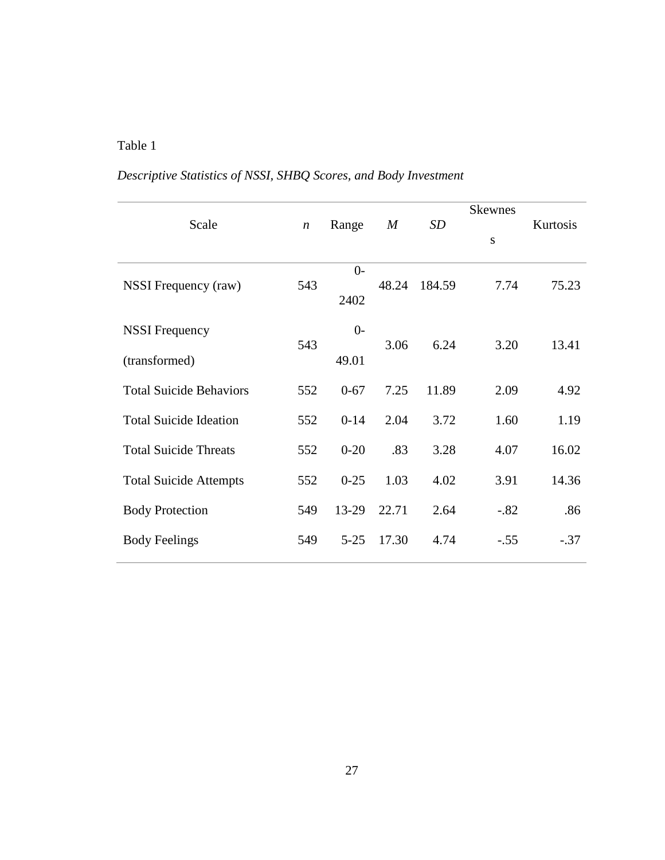## Table 1

## *Descriptive Statistics of NSSI, SHBQ Scores, and Body Investment*

| Scale                                  | $\boldsymbol{n}$ | Range         | $\boldsymbol{M}$ | SD     | <b>Skewnes</b><br>S | Kurtosis |
|----------------------------------------|------------------|---------------|------------------|--------|---------------------|----------|
| NSSI Frequency (raw)                   | 543              | $0-$<br>2402  | 48.24            | 184.59 | 7.74                | 75.23    |
| <b>NSSI</b> Frequency<br>(transformed) | 543              | $0-$<br>49.01 | 3.06             | 6.24   | 3.20                | 13.41    |
| <b>Total Suicide Behaviors</b>         | 552              | $0 - 67$      | 7.25             | 11.89  | 2.09                | 4.92     |
| <b>Total Suicide Ideation</b>          | 552              | $0 - 14$      | 2.04             | 3.72   | 1.60                | 1.19     |
| <b>Total Suicide Threats</b>           | 552              | $0 - 20$      | .83              | 3.28   | 4.07                | 16.02    |
| <b>Total Suicide Attempts</b>          | 552              | $0 - 25$      | 1.03             | 4.02   | 3.91                | 14.36    |
| <b>Body Protection</b>                 | 549              | 13-29         | 22.71            | 2.64   | $-.82$              | .86      |
| <b>Body Feelings</b>                   | 549              | $5 - 25$      | 17.30            | 4.74   | $-.55$              | $-.37$   |